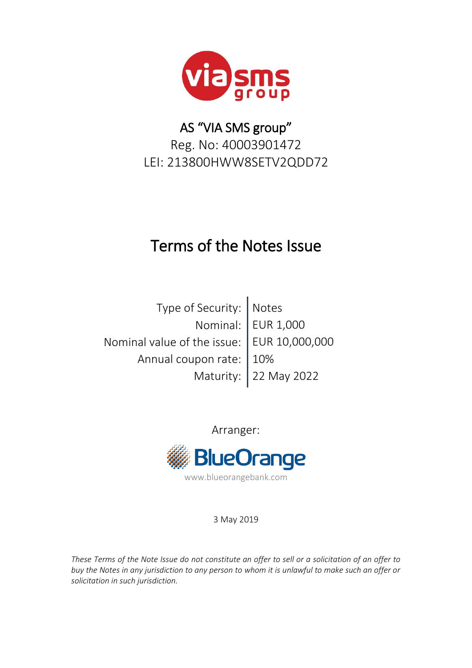

# AS "VIA SMS group" Reg. No: 40003901472 LEI: 213800HWW8SETV2QDD72

# Terms of the Notes Issue

Type of Security: Notes Nominal: | EUR 1,000 Nominal value of the issue:  $|$  EUR 10,000,000 Annual coupon rate: | 10% Maturity: 22 May 2022

> Arranger: **BlueOrange** www.blueorangebank.com

> > 3 May 2019

*These Terms of the Note Issue do not constitute an offer to sell or a solicitation of an offer to buy the Notes in any jurisdiction to any person to whom it is unlawful to make such an offer or solicitation in such jurisdiction.*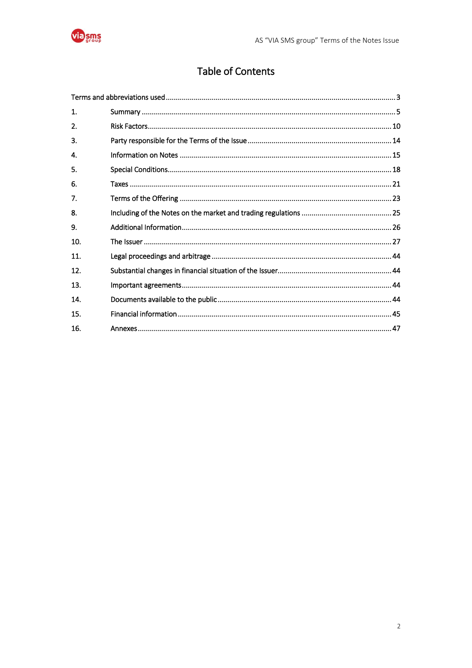

## Table of Contents

| 1.  |  |
|-----|--|
| 2.  |  |
| 3.  |  |
| 4.  |  |
| 5.  |  |
| 6.  |  |
| 7.  |  |
| 8.  |  |
| 9.  |  |
| 10. |  |
| 11. |  |
| 12. |  |
| 13. |  |
| 14. |  |
| 15. |  |
| 16. |  |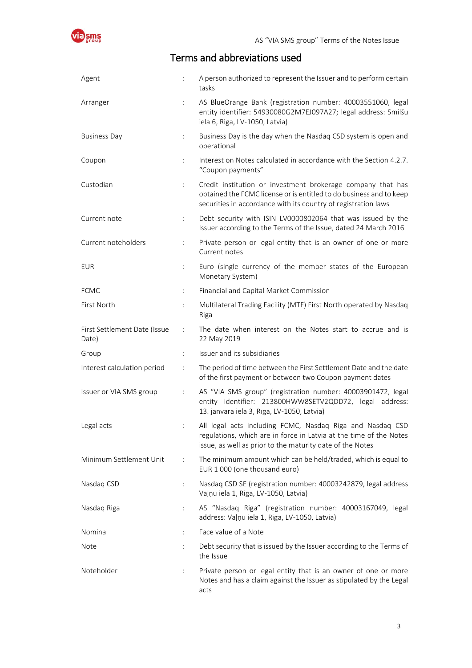<span id="page-2-0"></span>

### Terms and abbreviations used

| Agent                                 |                           | A person authorized to represent the Issuer and to perform certain<br>tasks                                                                                                                          |
|---------------------------------------|---------------------------|------------------------------------------------------------------------------------------------------------------------------------------------------------------------------------------------------|
| Arranger                              | $\ddot{\cdot}$            | AS BlueOrange Bank (registration number: 40003551060, legal<br>entity identifier: 54930080G2M7EJ097A27; legal address: Smilšu<br>iela 6, Riga, LV-1050, Latvia)                                      |
| <b>Business Day</b>                   | ÷.                        | Business Day is the day when the Nasdaq CSD system is open and<br>operational                                                                                                                        |
| Coupon                                | $\ddot{\cdot}$            | Interest on Notes calculated in accordance with the Section 4.2.7.<br>"Coupon payments"                                                                                                              |
| Custodian                             | $\ddot{\cdot}$            | Credit institution or investment brokerage company that has<br>obtained the FCMC license or is entitled to do business and to keep<br>securities in accordance with its country of registration laws |
| Current note                          | $\ddot{\cdot}$            | Debt security with ISIN LV0000802064 that was issued by the<br>Issuer according to the Terms of the Issue, dated 24 March 2016                                                                       |
| Current noteholders                   | $\ddot{\cdot}$            | Private person or legal entity that is an owner of one or more<br>Current notes                                                                                                                      |
| <b>EUR</b>                            | ÷                         | Euro (single currency of the member states of the European<br>Monetary System)                                                                                                                       |
| <b>FCMC</b>                           | $\ddot{\phantom{a}}$      | Financial and Capital Market Commission                                                                                                                                                              |
| First North                           | $\ddot{\cdot}$            | Multilateral Trading Facility (MTF) First North operated by Nasdaq<br>Riga                                                                                                                           |
| First Settlement Date (Issue<br>Date) | ÷                         | The date when interest on the Notes start to accrue and is<br>22 May 2019                                                                                                                            |
| Group                                 | $\mathbb{R}^{\mathbb{Z}}$ | Issuer and its subsidiaries                                                                                                                                                                          |
| Interest calculation period           | $\ddot{\cdot}$            | The period of time between the First Settlement Date and the date<br>of the first payment or between two Coupon payment dates                                                                        |
| Issuer or VIA SMS group               | $\ddot{\phantom{a}}$      | AS "VIA SMS group" (registration number: 40003901472, legal<br>entity identifier: 213800HWW8SETV2QDD72, legal address:<br>13. janvāra iela 3, Rīga, LV-1050, Latvia)                                 |
| Legal acts                            |                           | All legal acts including FCMC, Nasdaq Riga and Nasdaq CSD<br>regulations, which are in force in Latvia at the time of the Notes<br>issue, as well as prior to the maturity date of the Notes         |
| Minimum Settlement Unit               | $\ddot{\cdot}$            | The minimum amount which can be held/traded, which is equal to<br>EUR 1 000 (one thousand euro)                                                                                                      |
| Nasdaq CSD                            | $\vdots$                  | Nasdaq CSD SE (registration number: 40003242879, legal address<br>Vaļņu iela 1, Riga, LV-1050, Latvia)                                                                                               |
| Nasdaq Riga                           | $\ddot{\cdot}$            | AS "Nasdaq Riga" (registration number: 40003167049, legal<br>address: Vaļņu iela 1, Riga, LV-1050, Latvia)                                                                                           |
| Nominal                               | $\ddot{\cdot}$            | Face value of a Note                                                                                                                                                                                 |
| Note                                  |                           | Debt security that is issued by the Issuer according to the Terms of<br>the Issue                                                                                                                    |
| Noteholder                            | $\ddot{\cdot}$            | Private person or legal entity that is an owner of one or more<br>Notes and has a claim against the Issuer as stipulated by the Legal<br>acts                                                        |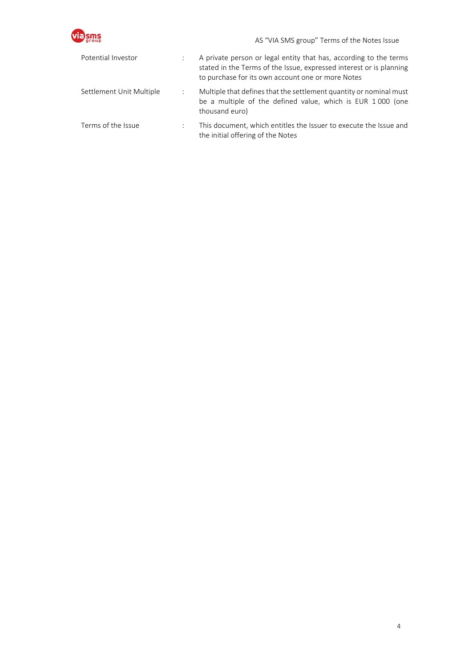|                          |                | AS "VIA SMS group" Terms of the Notes Issue                                                                                                                                                   |
|--------------------------|----------------|-----------------------------------------------------------------------------------------------------------------------------------------------------------------------------------------------|
| Potential Investor       | ÷              | A private person or legal entity that has, according to the terms<br>stated in the Terms of the Issue, expressed interest or is planning<br>to purchase for its own account one or more Notes |
| Settlement Unit Multiple | $\ddot{\cdot}$ | Multiple that defines that the settlement quantity or nominal must<br>be a multiple of the defined value, which is EUR 1000 (one<br>thousand euro)                                            |
| Terms of the Issue       | $\mathbf{r}$   | This document, which entitles the Issuer to execute the Issue and<br>the initial offering of the Notes                                                                                        |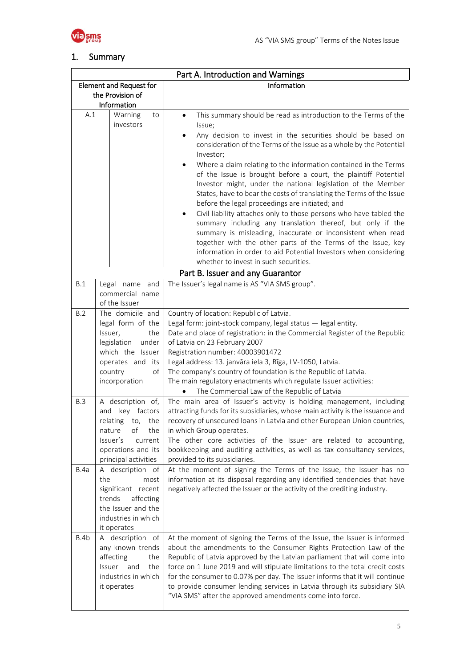

### <span id="page-4-0"></span>1. Summary

|                                |                                                                                                                        | Part A. Introduction and Warnings                                                                                                                                                                                                                                                                                                                                                                                                                                                                                                                                                                                                                                                  |
|--------------------------------|------------------------------------------------------------------------------------------------------------------------|------------------------------------------------------------------------------------------------------------------------------------------------------------------------------------------------------------------------------------------------------------------------------------------------------------------------------------------------------------------------------------------------------------------------------------------------------------------------------------------------------------------------------------------------------------------------------------------------------------------------------------------------------------------------------------|
| <b>Element and Request for</b> |                                                                                                                        | Information                                                                                                                                                                                                                                                                                                                                                                                                                                                                                                                                                                                                                                                                        |
| the Provision of               |                                                                                                                        |                                                                                                                                                                                                                                                                                                                                                                                                                                                                                                                                                                                                                                                                                    |
| Information                    |                                                                                                                        |                                                                                                                                                                                                                                                                                                                                                                                                                                                                                                                                                                                                                                                                                    |
| A.1                            | Warning<br>to<br>investors                                                                                             | This summary should be read as introduction to the Terms of the<br>$\bullet$<br>Issue;                                                                                                                                                                                                                                                                                                                                                                                                                                                                                                                                                                                             |
|                                |                                                                                                                        | Any decision to invest in the securities should be based on<br>$\bullet$<br>consideration of the Terms of the Issue as a whole by the Potential                                                                                                                                                                                                                                                                                                                                                                                                                                                                                                                                    |
|                                |                                                                                                                        | Investor;                                                                                                                                                                                                                                                                                                                                                                                                                                                                                                                                                                                                                                                                          |
|                                |                                                                                                                        | Where a claim relating to the information contained in the Terms<br>$\bullet$<br>of the Issue is brought before a court, the plaintiff Potential<br>Investor might, under the national legislation of the Member<br>States, have to bear the costs of translating the Terms of the Issue<br>before the legal proceedings are initiated; and<br>Civil liability attaches only to those persons who have tabled the<br>summary including any translation thereof, but only if the<br>summary is misleading, inaccurate or inconsistent when read<br>together with the other parts of the Terms of the Issue, key<br>information in order to aid Potential Investors when considering |
|                                |                                                                                                                        |                                                                                                                                                                                                                                                                                                                                                                                                                                                                                                                                                                                                                                                                                    |
|                                |                                                                                                                        | whether to invest in such securities.                                                                                                                                                                                                                                                                                                                                                                                                                                                                                                                                                                                                                                              |
|                                |                                                                                                                        | Part B. Issuer and any Guarantor                                                                                                                                                                                                                                                                                                                                                                                                                                                                                                                                                                                                                                                   |
| B.1                            | Legal name and                                                                                                         | The Issuer's legal name is AS "VIA SMS group".                                                                                                                                                                                                                                                                                                                                                                                                                                                                                                                                                                                                                                     |
|                                | commercial name                                                                                                        |                                                                                                                                                                                                                                                                                                                                                                                                                                                                                                                                                                                                                                                                                    |
| B.2                            | of the Issuer<br>The domicile and                                                                                      |                                                                                                                                                                                                                                                                                                                                                                                                                                                                                                                                                                                                                                                                                    |
|                                | legal form of the                                                                                                      | Country of location: Republic of Latvia.<br>Legal form: joint-stock company, legal status - legal entity.                                                                                                                                                                                                                                                                                                                                                                                                                                                                                                                                                                          |
| Issuer,<br>the                 |                                                                                                                        | Date and place of registration: in the Commercial Register of the Republic                                                                                                                                                                                                                                                                                                                                                                                                                                                                                                                                                                                                         |
|                                | legislation<br>under                                                                                                   | of Latvia on 23 February 2007                                                                                                                                                                                                                                                                                                                                                                                                                                                                                                                                                                                                                                                      |
|                                | which the Issuer                                                                                                       | Registration number: 40003901472                                                                                                                                                                                                                                                                                                                                                                                                                                                                                                                                                                                                                                                   |
|                                | operates and its                                                                                                       | Legal address: 13. janvāra iela 3, Rīga, LV-1050, Latvia.                                                                                                                                                                                                                                                                                                                                                                                                                                                                                                                                                                                                                          |
|                                | country<br>of                                                                                                          | The company's country of foundation is the Republic of Latvia.                                                                                                                                                                                                                                                                                                                                                                                                                                                                                                                                                                                                                     |
|                                | incorporation                                                                                                          | The main regulatory enactments which regulate Issuer activities:                                                                                                                                                                                                                                                                                                                                                                                                                                                                                                                                                                                                                   |
|                                |                                                                                                                        | The Commercial Law of the Republic of Latvia                                                                                                                                                                                                                                                                                                                                                                                                                                                                                                                                                                                                                                       |
| B.3                            | A description of,<br>key factors<br>and<br>relating<br>to, the<br>the<br>nature<br>оf<br>Issuer's<br>current           | The main area of Issuer's activity is holding management, including<br>attracting funds for its subsidiaries, whose main activity is the issuance and<br>recovery of unsecured loans in Latvia and other European Union countries,<br>in which Group operates.<br>The other core activities of the Issuer are related to accounting,                                                                                                                                                                                                                                                                                                                                               |
|                                | operations and its                                                                                                     | bookkeeping and auditing activities, as well as tax consultancy services,                                                                                                                                                                                                                                                                                                                                                                                                                                                                                                                                                                                                          |
|                                | principal activities                                                                                                   | provided to its subsidiaries.                                                                                                                                                                                                                                                                                                                                                                                                                                                                                                                                                                                                                                                      |
| B.4a                           | A description of<br>the<br>most                                                                                        | At the moment of signing the Terms of the Issue, the Issuer has no<br>information at its disposal regarding any identified tendencies that have                                                                                                                                                                                                                                                                                                                                                                                                                                                                                                                                    |
|                                | significant recent                                                                                                     | negatively affected the Issuer or the activity of the crediting industry.                                                                                                                                                                                                                                                                                                                                                                                                                                                                                                                                                                                                          |
|                                | trends<br>affecting                                                                                                    |                                                                                                                                                                                                                                                                                                                                                                                                                                                                                                                                                                                                                                                                                    |
|                                | the Issuer and the                                                                                                     |                                                                                                                                                                                                                                                                                                                                                                                                                                                                                                                                                                                                                                                                                    |
|                                | industries in which                                                                                                    |                                                                                                                                                                                                                                                                                                                                                                                                                                                                                                                                                                                                                                                                                    |
|                                | it operates                                                                                                            |                                                                                                                                                                                                                                                                                                                                                                                                                                                                                                                                                                                                                                                                                    |
| B.4b                           | A description of<br>any known trends<br>affecting<br>the<br>the<br>Issuer<br>and<br>industries in which<br>it operates | At the moment of signing the Terms of the Issue, the Issuer is informed<br>about the amendments to the Consumer Rights Protection Law of the<br>Republic of Latvia approved by the Latvian parliament that will come into<br>force on 1 June 2019 and will stipulate limitations to the total credit costs<br>for the consumer to 0.07% per day. The Issuer informs that it will continue<br>to provide consumer lending services in Latvia through its subsidiary SIA<br>"VIA SMS" after the approved amendments come into force.                                                                                                                                                 |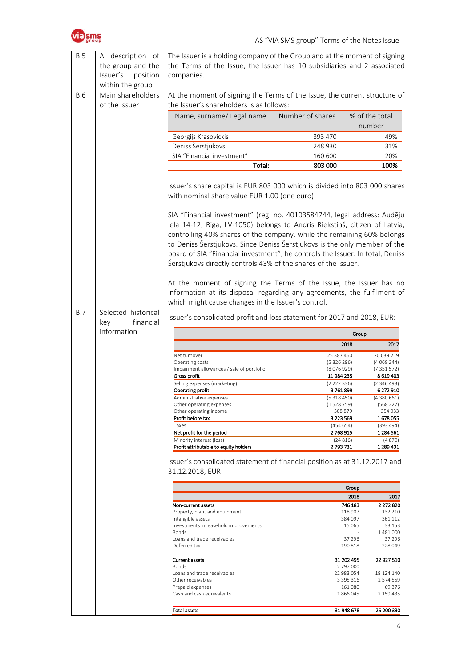



| B.5<br>B.6 | A description of<br>the group and the<br>Issuer's<br>position<br>within the group<br>Main shareholders | The Issuer is a holding company of the Group and at the moment of signing<br>the Terms of the Issue, the Issuer has 10 subsidiaries and 2 associated<br>companies.<br>At the moment of signing the Terms of the Issue, the current structure of                                                                                                                                                                                                                 |                         |                         |
|------------|--------------------------------------------------------------------------------------------------------|-----------------------------------------------------------------------------------------------------------------------------------------------------------------------------------------------------------------------------------------------------------------------------------------------------------------------------------------------------------------------------------------------------------------------------------------------------------------|-------------------------|-------------------------|
|            | of the Issuer                                                                                          | the Issuer's shareholders is as follows:<br>Name, surname/ Legal name                                                                                                                                                                                                                                                                                                                                                                                           | Number of shares        | % of the total          |
|            |                                                                                                        |                                                                                                                                                                                                                                                                                                                                                                                                                                                                 |                         | number                  |
|            |                                                                                                        | Georgijs Krasovickis                                                                                                                                                                                                                                                                                                                                                                                                                                            | 393 470                 | 49%                     |
|            |                                                                                                        | Deniss Šerstjukovs<br>SIA "Financial investment"                                                                                                                                                                                                                                                                                                                                                                                                                | 248 930<br>160 600      | 31%<br>20%              |
|            |                                                                                                        | Total:                                                                                                                                                                                                                                                                                                                                                                                                                                                          | 803 000                 | 100%                    |
|            |                                                                                                        |                                                                                                                                                                                                                                                                                                                                                                                                                                                                 |                         |                         |
|            |                                                                                                        | Issuer's share capital is EUR 803 000 which is divided into 803 000 shares<br>with nominal share value EUR 1.00 (one euro).                                                                                                                                                                                                                                                                                                                                     |                         |                         |
|            |                                                                                                        | SIA "Financial investment" (reg. no. 40103584744, legal address: Audēju<br>iela 14-12, Riga, LV-1050) belongs to Andris Riekstiņš, citizen of Latvia,<br>controlling 40% shares of the company, while the remaining 60% belongs<br>to Deniss Šerstjukovs. Since Deniss Šerstjukovs is the only member of the<br>board of SIA "Financial investment", he controls the Issuer. In total, Deniss<br>Šerstjukovs directly controls 43% of the shares of the Issuer. |                         |                         |
|            |                                                                                                        | At the moment of signing the Terms of the Issue, the Issuer has no<br>information at its disposal regarding any agreements, the fulfilment of<br>which might cause changes in the Issuer's control.                                                                                                                                                                                                                                                             |                         |                         |
| <b>B.7</b> | Selected historical<br>key<br>financial<br>information                                                 | Issuer's consolidated profit and loss statement for 2017 and 2018, EUR:                                                                                                                                                                                                                                                                                                                                                                                         | Group                   |                         |
|            |                                                                                                        |                                                                                                                                                                                                                                                                                                                                                                                                                                                                 | 2018                    | 2017                    |
|            |                                                                                                        | Net turnover                                                                                                                                                                                                                                                                                                                                                                                                                                                    |                         |                         |
|            |                                                                                                        |                                                                                                                                                                                                                                                                                                                                                                                                                                                                 |                         |                         |
|            |                                                                                                        | Operating costs                                                                                                                                                                                                                                                                                                                                                                                                                                                 | 25 387 460<br>(5326296) | 20 039 219<br>(4068244) |
|            |                                                                                                        | Impairment allowances / sale of portfolio                                                                                                                                                                                                                                                                                                                                                                                                                       | (8076929)               | (7351572)               |
|            |                                                                                                        | Gross profit                                                                                                                                                                                                                                                                                                                                                                                                                                                    | 11 984 235              | 8 619 403               |
|            |                                                                                                        | Selling expenses (marketing)<br><b>Operating profit</b>                                                                                                                                                                                                                                                                                                                                                                                                         | (2222336)<br>9 761 899  | (2346493)<br>6 272 910  |
|            |                                                                                                        | Administrative expenses                                                                                                                                                                                                                                                                                                                                                                                                                                         | (5318450)               | (4380661)               |
|            |                                                                                                        | Other operating expenses<br>Other operating income                                                                                                                                                                                                                                                                                                                                                                                                              | (1 528 759)<br>308 879  | (568 227)<br>354 033    |
|            |                                                                                                        | Profit before tax                                                                                                                                                                                                                                                                                                                                                                                                                                               | 3 223 569               | 1678055                 |
|            |                                                                                                        | Taxes                                                                                                                                                                                                                                                                                                                                                                                                                                                           | (454654)                | (393 494)               |
|            |                                                                                                        | Net profit for the period                                                                                                                                                                                                                                                                                                                                                                                                                                       | 2 768 915               | 1 284 561               |
|            |                                                                                                        | Minority interest (loss)<br>Profit attributable to equity holders                                                                                                                                                                                                                                                                                                                                                                                               | (24816)<br>2 793 731    | (4870)<br>1 289 431     |
|            |                                                                                                        | Issuer's consolidated statement of financial position as at 31.12.2017 and<br>31.12.2018, EUR:                                                                                                                                                                                                                                                                                                                                                                  |                         |                         |
|            |                                                                                                        |                                                                                                                                                                                                                                                                                                                                                                                                                                                                 | Group                   |                         |
|            |                                                                                                        |                                                                                                                                                                                                                                                                                                                                                                                                                                                                 | 2018                    | 2017                    |
|            |                                                                                                        | Non-current assets                                                                                                                                                                                                                                                                                                                                                                                                                                              | 746 183                 | 2 272 820               |
|            |                                                                                                        | Property, plant and equipment<br>Intangible assets                                                                                                                                                                                                                                                                                                                                                                                                              | 118 907<br>384 097      | 132 210<br>361 112      |
|            |                                                                                                        | Investments in leasehold improvements                                                                                                                                                                                                                                                                                                                                                                                                                           | 15 0 65                 | 33 153                  |
|            |                                                                                                        | Bonds                                                                                                                                                                                                                                                                                                                                                                                                                                                           |                         | 1481000                 |
|            |                                                                                                        | Loans and trade receivables<br>Deferred tax                                                                                                                                                                                                                                                                                                                                                                                                                     | 37 296<br>190 818       | 37 296<br>228 049       |
|            |                                                                                                        | <b>Current assets</b><br>Bonds                                                                                                                                                                                                                                                                                                                                                                                                                                  | 31 202 495<br>2 797 000 | 22 927 510              |
|            |                                                                                                        | Loans and trade receivables                                                                                                                                                                                                                                                                                                                                                                                                                                     | 22 983 054              | 18 124 140              |
|            |                                                                                                        | Other receivables                                                                                                                                                                                                                                                                                                                                                                                                                                               | 3 3 9 5 3 1 6           | 2 574 559               |
|            |                                                                                                        | Prepaid expenses<br>Cash and cash equivalents                                                                                                                                                                                                                                                                                                                                                                                                                   | 161 080<br>1866045      | 69 376<br>2 159 435     |
|            |                                                                                                        | <b>Total assets</b>                                                                                                                                                                                                                                                                                                                                                                                                                                             | 31 948 678              | 25 200 330              |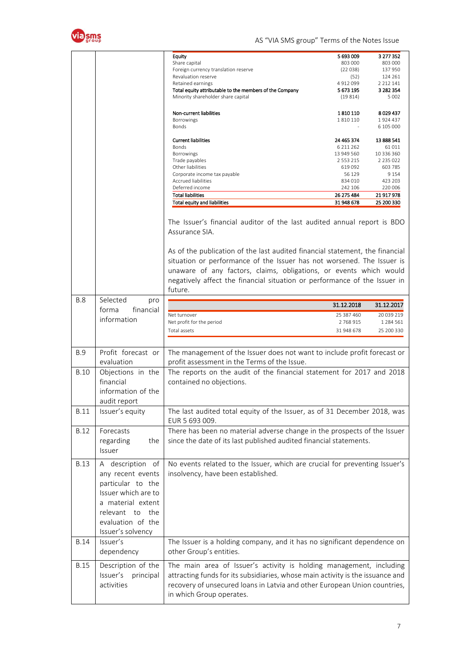

AS "VIA SMS group" Terms of the Notes Issue

|             |                       | Equity                                                                                                                                                                                                                                                                                                               | 5 693 009     | 3 277 352     |
|-------------|-----------------------|----------------------------------------------------------------------------------------------------------------------------------------------------------------------------------------------------------------------------------------------------------------------------------------------------------------------|---------------|---------------|
|             |                       | Share capital                                                                                                                                                                                                                                                                                                        | 803 000       | 803 000       |
|             |                       | Foreign currency translation reserve                                                                                                                                                                                                                                                                                 | (22038)       | 137 950       |
|             |                       |                                                                                                                                                                                                                                                                                                                      |               |               |
|             |                       | Revaluation reserve                                                                                                                                                                                                                                                                                                  | (52)          | 124 261       |
|             |                       | Retained earnings                                                                                                                                                                                                                                                                                                    | 4 912 099     | 2 2 1 2 1 4 1 |
|             |                       | Total equity attributable to the members of the Company                                                                                                                                                                                                                                                              | 5 673 195     | 3 282 354     |
|             |                       | Minority shareholder share capital                                                                                                                                                                                                                                                                                   | (19814)       | 5 0 0 2       |
|             |                       |                                                                                                                                                                                                                                                                                                                      |               |               |
|             |                       |                                                                                                                                                                                                                                                                                                                      |               |               |
|             |                       | Non-current liabilities                                                                                                                                                                                                                                                                                              | 1 810 110     | 8029437       |
|             |                       | <b>Borrowings</b>                                                                                                                                                                                                                                                                                                    | 1810110       | 1924 437      |
|             |                       |                                                                                                                                                                                                                                                                                                                      |               |               |
|             |                       | Bonds                                                                                                                                                                                                                                                                                                                |               | 6 105 000     |
|             |                       |                                                                                                                                                                                                                                                                                                                      |               |               |
|             |                       | <b>Current liabilities</b>                                                                                                                                                                                                                                                                                           | 24 465 374    | 13 888 541    |
|             |                       | Bonds                                                                                                                                                                                                                                                                                                                | 6 211 262     | 61 011        |
|             |                       | Borrowings                                                                                                                                                                                                                                                                                                           | 13 949 560    | 10 336 360    |
|             |                       |                                                                                                                                                                                                                                                                                                                      | 2 5 5 3 2 1 5 | 2 2 3 5 0 2 2 |
|             |                       | Trade payables                                                                                                                                                                                                                                                                                                       |               |               |
|             |                       | Other liabilities                                                                                                                                                                                                                                                                                                    | 619 092       | 603 785       |
|             |                       | Corporate income tax payable                                                                                                                                                                                                                                                                                         | 56 129        | 9 1 5 4       |
|             |                       | <b>Accrued liabilities</b>                                                                                                                                                                                                                                                                                           | 834 010       | 423 203       |
|             |                       | Deferred income                                                                                                                                                                                                                                                                                                      | 242 106       | 220 006       |
|             |                       | <b>Total liabilities</b>                                                                                                                                                                                                                                                                                             |               |               |
|             |                       |                                                                                                                                                                                                                                                                                                                      | 26 275 484    | 21 917 978    |
|             |                       | <b>Total equity and liabilities</b>                                                                                                                                                                                                                                                                                  | 31 948 678    | 25 200 330    |
|             |                       | The Issuer's financial auditor of the last audited annual report is BDO<br>Assurance SIA.                                                                                                                                                                                                                            |               |               |
|             |                       | As of the publication of the last audited financial statement, the financial<br>situation or performance of the Issuer has not worsened. The Issuer is<br>unaware of any factors, claims, obligations, or events which would<br>negatively affect the financial situation or performance of the Issuer in<br>future. |               |               |
| <b>B.8</b>  | Selected<br>pro       |                                                                                                                                                                                                                                                                                                                      |               |               |
|             |                       |                                                                                                                                                                                                                                                                                                                      | 31.12.2018    | 31.12.2017    |
|             | financial<br>forma    | Net turnover                                                                                                                                                                                                                                                                                                         | 25 387 460    |               |
|             | information           |                                                                                                                                                                                                                                                                                                                      |               | 20 039 219    |
|             |                       | Net profit for the period                                                                                                                                                                                                                                                                                            | 2768915       | 1 2 8 4 5 6 1 |
|             |                       | Total assets                                                                                                                                                                                                                                                                                                         | 31 948 678    | 25 200 330    |
|             |                       |                                                                                                                                                                                                                                                                                                                      |               |               |
|             |                       |                                                                                                                                                                                                                                                                                                                      |               |               |
|             |                       |                                                                                                                                                                                                                                                                                                                      |               |               |
| <b>B.9</b>  | Profit forecast or    | The management of the Issuer does not want to include profit forecast or                                                                                                                                                                                                                                             |               |               |
|             |                       |                                                                                                                                                                                                                                                                                                                      |               |               |
|             | evaluation            | profit assessment in the Terms of the Issue.                                                                                                                                                                                                                                                                         |               |               |
| <b>B.10</b> | Objections in the     | The reports on the audit of the financial statement for 2017 and 2018                                                                                                                                                                                                                                                |               |               |
|             |                       |                                                                                                                                                                                                                                                                                                                      |               |               |
|             | financial             | contained no objections.                                                                                                                                                                                                                                                                                             |               |               |
|             | information of the    |                                                                                                                                                                                                                                                                                                                      |               |               |
|             |                       |                                                                                                                                                                                                                                                                                                                      |               |               |
|             | audit report          |                                                                                                                                                                                                                                                                                                                      |               |               |
|             |                       |                                                                                                                                                                                                                                                                                                                      |               |               |
| <b>B.11</b> | Issuer's equity       | The last audited total equity of the Issuer, as of 31 December 2018, was                                                                                                                                                                                                                                             |               |               |
|             |                       | EUR 5 693 009.                                                                                                                                                                                                                                                                                                       |               |               |
|             |                       |                                                                                                                                                                                                                                                                                                                      |               |               |
| <b>B.12</b> | Forecasts             | There has been no material adverse change in the prospects of the Issuer                                                                                                                                                                                                                                             |               |               |
|             | regarding             |                                                                                                                                                                                                                                                                                                                      |               |               |
|             | the                   | since the date of its last published audited financial statements.                                                                                                                                                                                                                                                   |               |               |
|             | Issuer                |                                                                                                                                                                                                                                                                                                                      |               |               |
|             |                       |                                                                                                                                                                                                                                                                                                                      |               |               |
| <b>B.13</b> | A description of      | No events related to the Issuer, which are crucial for preventing Issuer's                                                                                                                                                                                                                                           |               |               |
|             |                       |                                                                                                                                                                                                                                                                                                                      |               |               |
|             | any recent events     | insolvency, have been established.                                                                                                                                                                                                                                                                                   |               |               |
|             | particular to the     |                                                                                                                                                                                                                                                                                                                      |               |               |
|             |                       |                                                                                                                                                                                                                                                                                                                      |               |               |
|             | Issuer which are to   |                                                                                                                                                                                                                                                                                                                      |               |               |
|             |                       |                                                                                                                                                                                                                                                                                                                      |               |               |
|             | a material extent     |                                                                                                                                                                                                                                                                                                                      |               |               |
|             | relevant to<br>the    |                                                                                                                                                                                                                                                                                                                      |               |               |
|             |                       |                                                                                                                                                                                                                                                                                                                      |               |               |
|             | evaluation of the     |                                                                                                                                                                                                                                                                                                                      |               |               |
|             |                       |                                                                                                                                                                                                                                                                                                                      |               |               |
|             | Issuer's solvency     |                                                                                                                                                                                                                                                                                                                      |               |               |
| <b>B.14</b> | Issuer's              | The Issuer is a holding company, and it has no significant dependence on                                                                                                                                                                                                                                             |               |               |
|             |                       |                                                                                                                                                                                                                                                                                                                      |               |               |
|             | dependency            | other Group's entities.                                                                                                                                                                                                                                                                                              |               |               |
|             |                       |                                                                                                                                                                                                                                                                                                                      |               |               |
| <b>B.15</b> | Description of the    | The main area of Issuer's activity is holding management, including                                                                                                                                                                                                                                                  |               |               |
|             |                       |                                                                                                                                                                                                                                                                                                                      |               |               |
|             |                       |                                                                                                                                                                                                                                                                                                                      |               |               |
|             | Issuer's<br>principal | attracting funds for its subsidiaries, whose main activity is the issuance and                                                                                                                                                                                                                                       |               |               |
|             |                       |                                                                                                                                                                                                                                                                                                                      |               |               |
|             | activities            | recovery of unsecured loans in Latvia and other European Union countries,                                                                                                                                                                                                                                            |               |               |
|             |                       | in which Group operates.                                                                                                                                                                                                                                                                                             |               |               |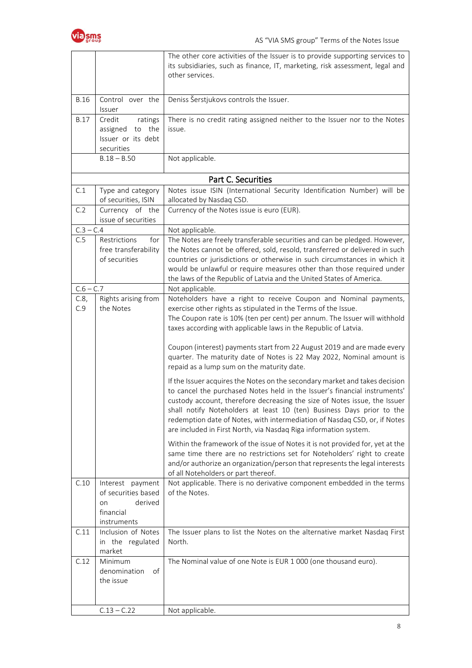

|             |                                                                                      | The other core activities of the Issuer is to provide supporting services to<br>its subsidiaries, such as finance, IT, marketing, risk assessment, legal and<br>other services.                                                                                                                                                                                                                                                                                                                                                                                                                                                                                                                                                                                                                                                                                                                                                                                                                                                                                                                                                                                                                                                            |
|-------------|--------------------------------------------------------------------------------------|--------------------------------------------------------------------------------------------------------------------------------------------------------------------------------------------------------------------------------------------------------------------------------------------------------------------------------------------------------------------------------------------------------------------------------------------------------------------------------------------------------------------------------------------------------------------------------------------------------------------------------------------------------------------------------------------------------------------------------------------------------------------------------------------------------------------------------------------------------------------------------------------------------------------------------------------------------------------------------------------------------------------------------------------------------------------------------------------------------------------------------------------------------------------------------------------------------------------------------------------|
| <b>B.16</b> | Control over the<br>Issuer                                                           | Deniss Šerstjukovs controls the Issuer.                                                                                                                                                                                                                                                                                                                                                                                                                                                                                                                                                                                                                                                                                                                                                                                                                                                                                                                                                                                                                                                                                                                                                                                                    |
| <b>B.17</b> | ratings<br>Credit<br>assigned to the<br>Issuer or its debt<br>securities             | There is no credit rating assigned neither to the Issuer nor to the Notes<br>issue.                                                                                                                                                                                                                                                                                                                                                                                                                                                                                                                                                                                                                                                                                                                                                                                                                                                                                                                                                                                                                                                                                                                                                        |
|             | $B.18 - B.50$                                                                        | Not applicable.                                                                                                                                                                                                                                                                                                                                                                                                                                                                                                                                                                                                                                                                                                                                                                                                                                                                                                                                                                                                                                                                                                                                                                                                                            |
|             |                                                                                      | Part C. Securities                                                                                                                                                                                                                                                                                                                                                                                                                                                                                                                                                                                                                                                                                                                                                                                                                                                                                                                                                                                                                                                                                                                                                                                                                         |
| C.1         | Type and category<br>of securities, ISIN                                             | Notes issue ISIN (International Security Identification Number) will be<br>allocated by Nasdaq CSD.                                                                                                                                                                                                                                                                                                                                                                                                                                                                                                                                                                                                                                                                                                                                                                                                                                                                                                                                                                                                                                                                                                                                        |
| C.2         | Currency of the<br>issue of securities                                               | Currency of the Notes issue is euro (EUR).                                                                                                                                                                                                                                                                                                                                                                                                                                                                                                                                                                                                                                                                                                                                                                                                                                                                                                                                                                                                                                                                                                                                                                                                 |
| $C.3 - C.4$ |                                                                                      | Not applicable.                                                                                                                                                                                                                                                                                                                                                                                                                                                                                                                                                                                                                                                                                                                                                                                                                                                                                                                                                                                                                                                                                                                                                                                                                            |
| C.5         | Restrictions<br>for<br>free transferability<br>of securities                         | The Notes are freely transferable securities and can be pledged. However,<br>the Notes cannot be offered, sold, resold, transferred or delivered in such<br>countries or jurisdictions or otherwise in such circumstances in which it<br>would be unlawful or require measures other than those required under<br>the laws of the Republic of Latvia and the United States of America.                                                                                                                                                                                                                                                                                                                                                                                                                                                                                                                                                                                                                                                                                                                                                                                                                                                     |
| $C.6 - C.7$ |                                                                                      | Not applicable.                                                                                                                                                                                                                                                                                                                                                                                                                                                                                                                                                                                                                                                                                                                                                                                                                                                                                                                                                                                                                                                                                                                                                                                                                            |
| C.8,<br>C.9 | Rights arising from<br>the Notes                                                     | Noteholders have a right to receive Coupon and Nominal payments,<br>exercise other rights as stipulated in the Terms of the Issue.<br>The Coupon rate is 10% (ten per cent) per annum. The Issuer will withhold<br>taxes according with applicable laws in the Republic of Latvia.<br>Coupon (interest) payments start from 22 August 2019 and are made every<br>quarter. The maturity date of Notes is 22 May 2022, Nominal amount is<br>repaid as a lump sum on the maturity date.<br>If the Issuer acquires the Notes on the secondary market and takes decision<br>to cancel the purchased Notes held in the Issuer's financial instruments'<br>custody account, therefore decreasing the size of Notes issue, the Issuer<br>shall notify Noteholders at least 10 (ten) Business Days prior to the<br>redemption date of Notes, with intermediation of Nasdaq CSD, or, if Notes<br>are included in First North, via Nasdaq Riga information system.<br>Within the framework of the issue of Notes it is not provided for, yet at the<br>same time there are no restrictions set for Noteholders' right to create<br>and/or authorize an organization/person that represents the legal interests<br>of all Noteholders or part thereof. |
| C.10        | Interest payment<br>of securities based<br>derived<br>on<br>financial<br>instruments | Not applicable. There is no derivative component embedded in the terms<br>of the Notes.                                                                                                                                                                                                                                                                                                                                                                                                                                                                                                                                                                                                                                                                                                                                                                                                                                                                                                                                                                                                                                                                                                                                                    |
| C.11        | Inclusion of Notes<br>in the regulated<br>market                                     | The Issuer plans to list the Notes on the alternative market Nasdaq First<br>North.                                                                                                                                                                                                                                                                                                                                                                                                                                                                                                                                                                                                                                                                                                                                                                                                                                                                                                                                                                                                                                                                                                                                                        |
| C.12        | Minimum<br>denomination<br>of<br>the issue                                           | The Nominal value of one Note is EUR 1 000 (one thousand euro).                                                                                                                                                                                                                                                                                                                                                                                                                                                                                                                                                                                                                                                                                                                                                                                                                                                                                                                                                                                                                                                                                                                                                                            |
|             | $C.13 - C.22$                                                                        | Not applicable.                                                                                                                                                                                                                                                                                                                                                                                                                                                                                                                                                                                                                                                                                                                                                                                                                                                                                                                                                                                                                                                                                                                                                                                                                            |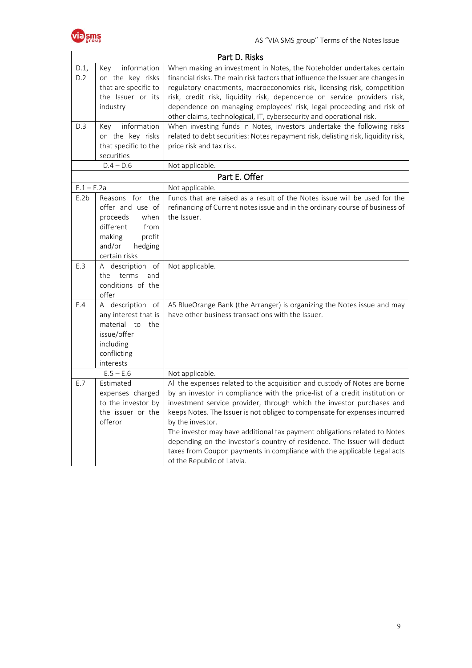

|              |                                                                                                                                        | Part D. Risks                                                                                                                                                                                                                                                                                                                                                                                                                                                                                                                                                                                          |
|--------------|----------------------------------------------------------------------------------------------------------------------------------------|--------------------------------------------------------------------------------------------------------------------------------------------------------------------------------------------------------------------------------------------------------------------------------------------------------------------------------------------------------------------------------------------------------------------------------------------------------------------------------------------------------------------------------------------------------------------------------------------------------|
| D.1,<br>D.2  | information<br>Key<br>on the key risks<br>that are specific to<br>the Issuer or its<br>industry                                        | When making an investment in Notes, the Noteholder undertakes certain<br>financial risks. The main risk factors that influence the Issuer are changes in<br>regulatory enactments, macroeconomics risk, licensing risk, competition<br>risk, credit risk, liquidity risk, dependence on service providers risk,<br>dependence on managing employees' risk, legal proceeding and risk of<br>other claims, technological, IT, cybersecurity and operational risk.                                                                                                                                        |
| D.3          | information<br>Key<br>on the key risks<br>that specific to the<br>securities<br>$D.4 - D.6$                                            | When investing funds in Notes, investors undertake the following risks<br>related to debt securities: Notes repayment risk, delisting risk, liquidity risk,<br>price risk and tax risk.<br>Not applicable.                                                                                                                                                                                                                                                                                                                                                                                             |
|              |                                                                                                                                        | Part E. Offer                                                                                                                                                                                                                                                                                                                                                                                                                                                                                                                                                                                          |
| $E.1 - E.2a$ |                                                                                                                                        | Not applicable.                                                                                                                                                                                                                                                                                                                                                                                                                                                                                                                                                                                        |
| E.2b         | Reasons for the<br>offer and use of<br>when<br>proceeds<br>different<br>from<br>making<br>profit<br>and/or<br>hedging<br>certain risks | Funds that are raised as a result of the Notes issue will be used for the<br>refinancing of Current notes issue and in the ordinary course of business of<br>the Issuer.                                                                                                                                                                                                                                                                                                                                                                                                                               |
| E.3          | A description of<br>the<br>terms<br>and<br>conditions of the<br>offer                                                                  | Not applicable.                                                                                                                                                                                                                                                                                                                                                                                                                                                                                                                                                                                        |
| E.4          | A description of<br>any interest that is<br>material to<br>the<br>issue/offer<br>including<br>conflicting<br>interests                 | AS BlueOrange Bank (the Arranger) is organizing the Notes issue and may<br>have other business transactions with the Issuer.                                                                                                                                                                                                                                                                                                                                                                                                                                                                           |
|              | $E.5 - E.6$                                                                                                                            | Not applicable.                                                                                                                                                                                                                                                                                                                                                                                                                                                                                                                                                                                        |
| E.7          | Estimated<br>expenses charged<br>to the investor by<br>the issuer or the<br>offeror                                                    | All the expenses related to the acquisition and custody of Notes are borne<br>by an investor in compliance with the price-list of a credit institution or<br>investment service provider, through which the investor purchases and<br>keeps Notes. The Issuer is not obliged to compensate for expenses incurred<br>by the investor.<br>The investor may have additional tax payment obligations related to Notes<br>depending on the investor's country of residence. The Issuer will deduct<br>taxes from Coupon payments in compliance with the applicable Legal acts<br>of the Republic of Latvia. |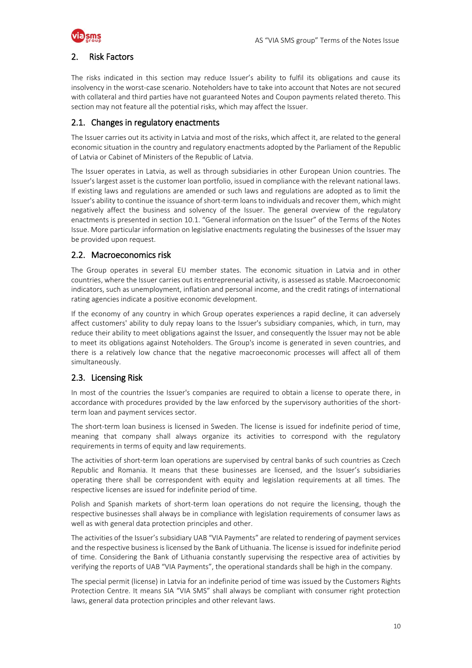

### <span id="page-9-0"></span>2. Risk Factors

The risks indicated in this section may reduce Issuer's ability to fulfil its obligations and cause its insolvency in the worst-case scenario. Noteholders have to take into account that Notes are not secured with collateral and third parties have not guaranteed Notes and Coupon payments related thereto. This section may not feature all the potential risks, which may affect the Issuer.

### 2.1. Changes in regulatory enactments

The Issuer carries out its activity in Latvia and most of the risks, which affect it, are related to the general economic situation in the country and regulatory enactments adopted by the Parliament of the Republic of Latvia or Cabinet of Ministers of the Republic of Latvia.

The Issuer operates in Latvia, as well as through subsidiaries in other European Union countries. The Issuer's largest asset is the customer loan portfolio, issued in compliance with the relevant national laws. If existing laws and regulations are amended or such laws and regulations are adopted as to limit the Issuer's ability to continue the issuance of short-term loans to individuals and recover them, which might negatively affect the business and solvency of the Issuer. The general overview of the regulatory enactments is presented in section 10.1. "General information on the Issuer" of the Terms of the Notes Issue. More particular information on legislative enactments regulating the businesses of the Issuer may be provided upon request.

### 2.2. Macroeconomics risk

The Group operates in several EU member states. The economic situation in Latvia and in other countries, where the Issuer carries out its entrepreneurial activity, is assessed as stable. Macroeconomic indicators, such as unemployment, inflation and personal income, and the credit ratings of international rating agencies indicate a positive economic development.

If the economy of any country in which Group operates experiences a rapid decline, it can adversely affect customers' ability to duly repay loans to the Issuer's subsidiary companies, which, in turn, may reduce their ability to meet obligations against the Issuer, and consequently the Issuer may not be able to meet its obligations against Noteholders. The Group's income is generated in seven countries, and there is a relatively low chance that the negative macroeconomic processes will affect all of them simultaneously.

### 2.3. Licensing Risk

In most of the countries the Issuer's companies are required to obtain a license to operate there, in accordance with procedures provided by the law enforced by the supervisory authorities of the shortterm loan and payment services sector.

The short-term loan business is licensed in Sweden. The license is issued for indefinite period of time, meaning that company shall always organize its activities to correspond with the regulatory requirements in terms of equity and law requirements.

The activities of short-term loan operations are supervised by central banks of such countries as Czech Republic and Romania. It means that these businesses are licensed, and the Issuer's subsidiaries operating there shall be correspondent with equity and legislation requirements at all times. The respective licenses are issued for indefinite period of time.

Polish and Spanish markets of short-term loan operations do not require the licensing, though the respective businesses shall always be in compliance with legislation requirements of consumer laws as well as with general data protection principles and other.

The activities of the Issuer's subsidiary UAB "VIA Payments" are related to rendering of payment services and the respective business is licensed by the Bank of Lithuania. The license is issued for indefinite period of time. Considering the Bank of Lithuania constantly supervising the respective area of activities by verifying the reports of UAB "VIA Payments", the operational standards shall be high in the company.

The special permit (license) in Latvia for an indefinite period of time was issued by the Customers Rights Protection Centre. It means SIA "VIA SMS" shall always be compliant with consumer right protection laws, general data protection principles and other relevant laws.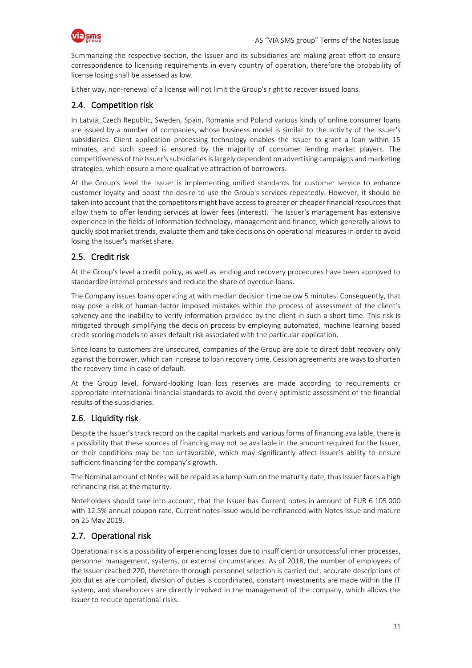

Summarizing the respective section, the Issuer and its subsidiaries are making great effort to ensure correspondence to licensing requirements in every country of operation, therefore the probability of license losing shall be assessed as low.

Either way, non-renewal of a license will not limit the Group's right to recover issued loans.

### 2.4. Competition risk

In Latvia, Czech Republic, Sweden, Spain, Romania and Poland various kinds of online consumer loans are issued by a number of companies, whose business model is similar to the activity of the Issuer's subsidiaries. Client application processing technology enables the Issuer to grant a loan within 15 minutes, and such speed is ensured by the majority of consumer lending market players. The competitiveness of the Issuer's subsidiaries is largely dependent on advertising campaigns and marketing strategies, which ensure a more qualitative attraction of borrowers.

At the Group's level the Issuer is implementing unified standards for customer service to enhance customer loyalty and boost the desire to use the Group's services repeatedly. However, it should be taken into account that the competitors might have access to greater or cheaper financial resources that allow them to offer lending services at lower fees (interest). The Issuer's management has extensive experience in the fields of information technology, management and finance, which generally allows to quickly spot market trends, evaluate them and take decisions on operational measures in order to avoid losing the Issuer's market share.

### 2.5. Credit risk

At the Group's level a credit policy, as well as lending and recovery procedures have been approved to standardize internal processes and reduce the share of overdue loans.

The Company issues loans operating at with median decision time below 5 minutes. Consequently, that may pose a risk of human-factor imposed mistakes within the process of assessment of the client's solvency and the inability to verify information provided by the client in such a short time. This risk is mitigated through simplifying the decision process by employing automated, machine learning based credit scoring models to asses default risk associated with the particular application.

Since loans to customers are unsecured, companies of the Group are able to direct debt recovery only against the borrower, which can increase to loan recovery time. Cession agreements are ways to shorten the recovery time in case of default.

At the Group level, forward-looking loan loss reserves are made according to requirements or appropriate international financial standards to avoid the overly optimistic assessment of the financial results of the subsidiaries.

### 2.6. Liquidity risk

Despite the Issuer's track record on the capital markets and various forms of financing available, there is a possibility that these sources of financing may not be available in the amount required for the Issuer, or their conditions may be too unfavorable, which may significantly affect Issuer's ability to ensure sufficient financing for the company's growth.

The Nominal amount of Notes will be repaid as a lump sum on the maturity date, thus Issuer faces a high refinancing risk at the maturity.

Noteholders should take into account, that the Issuer has Current notes in amount of EUR 6 105 000 with 12.5% annual coupon rate. Current notes issue would be refinanced with Notes issue and mature on 25 May 2019.

### 2.7. Operational risk

Operational risk is a possibility of experiencing losses due to insufficient or unsuccessful inner processes, personnel management, systems, or external circumstances. As of 2018, the number of employees of the Issuer reached 220, therefore thorough personnel selection is carried out, accurate descriptions of job duties are compiled, division of duties is coordinated, constant investments are made within the IT system, and shareholders are directly involved in the management of the company, which allows the Issuer to reduce operational risks.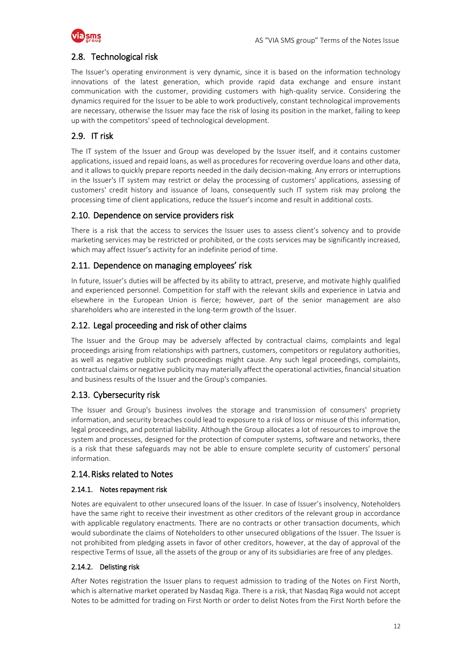

### 2.8. Technological risk

The Issuer's operating environment is very dynamic, since it is based on the information technology innovations of the latest generation, which provide rapid data exchange and ensure instant communication with the customer, providing customers with high-quality service. Considering the dynamics required for the Issuer to be able to work productively, constant technological improvements are necessary, otherwise the Issuer may face the risk of losing its position in the market, failing to keep up with the competitors' speed of technological development.

### 2.9. IT risk

The IT system of the Issuer and Group was developed by the Issuer itself, and it contains customer applications, issued and repaid loans, as well as procedures for recovering overdue loans and other data, and it allows to quickly prepare reports needed in the daily decision-making. Any errors or interruptions in the Issuer's IT system may restrict or delay the processing of customers' applications, assessing of customers' credit history and issuance of loans, consequently such IT system risk may prolong the processing time of client applications, reduce the Issuer's income and result in additional costs.

### 2.10. Dependence on service providers risk

There is a risk that the access to services the Issuer uses to assess client's solvency and to provide marketing services may be restricted or prohibited, or the costs services may be significantly increased, which may affect Issuer's activity for an indefinite period of time.

### 2.11. Dependence on managing employees' risk

In future, Issuer's duties will be affected by its ability to attract, preserve, and motivate highly qualified and experienced personnel. Competition for staff with the relevant skills and experience in Latvia and elsewhere in the European Union is fierce; however, part of the senior management are also shareholders who are interested in the long-term growth of the Issuer.

### 2.12. Legal proceeding and risk of other claims

The Issuer and the Group may be adversely affected by contractual claims, complaints and legal proceedings arising from relationships with partners, customers, competitors or regulatory authorities, as well as negative publicity such proceedings might cause. Any such legal proceedings, complaints, contractual claims or negative publicity may materially affect the operational activities, financial situation and business results of the Issuer and the Group's companies.

### 2.13. Cybersecurity risk

The Issuer and Group's business involves the storage and transmission of consumers' propriety information, and security breaches could lead to exposure to a risk of loss or misuse of this information, legal proceedings, and potential liability. Although the Group allocates a lot of resources to improve the system and processes, designed for the protection of computer systems, software and networks, there is a risk that these safeguards may not be able to ensure complete security of customers' personal information.

### 2.14.Risks related to Notes

#### 2.14.1. Notes repayment risk

Notes are equivalent to other unsecured loans of the Issuer. In case of Issuer's insolvency, Noteholders have the same right to receive their investment as other creditors of the relevant group in accordance with applicable regulatory enactments. There are no contracts or other transaction documents, which would subordinate the claims of Noteholders to other unsecured obligations of the Issuer. The Issuer is not prohibited from pledging assets in favor of other creditors, however, at the day of approval of the respective Terms of Issue, all the assets of the group or any of its subsidiaries are free of any pledges.

#### 2.14.2. Delisting risk

After Notes registration the Issuer plans to request admission to trading of the Notes on First North, which is alternative market operated by Nasdaq Riga. There is a risk, that Nasdaq Riga would not accept Notes to be admitted for trading on First North or order to delist Notes from the First North before the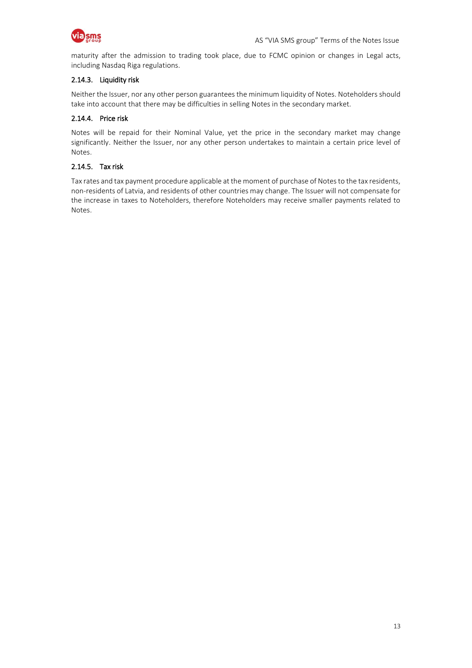

maturity after the admission to trading took place, due to FCMC opinion or changes in Legal acts, including Nasdaq Riga regulations.

#### 2.14.3. Liquidity risk

Neither the Issuer, nor any other person guarantees the minimum liquidity of Notes. Noteholders should take into account that there may be difficulties in selling Notes in the secondary market.

#### 2.14.4. Price risk

Notes will be repaid for their Nominal Value, yet the price in the secondary market may change significantly. Neither the Issuer, nor any other person undertakes to maintain a certain price level of Notes.

#### 2.14.5. Tax risk

Tax rates and tax payment procedure applicable at the moment of purchase of Notes to the tax residents, non-residents of Latvia, and residents of other countries may change. The Issuer will not compensate for the increase in taxes to Noteholders, therefore Noteholders may receive smaller payments related to Notes.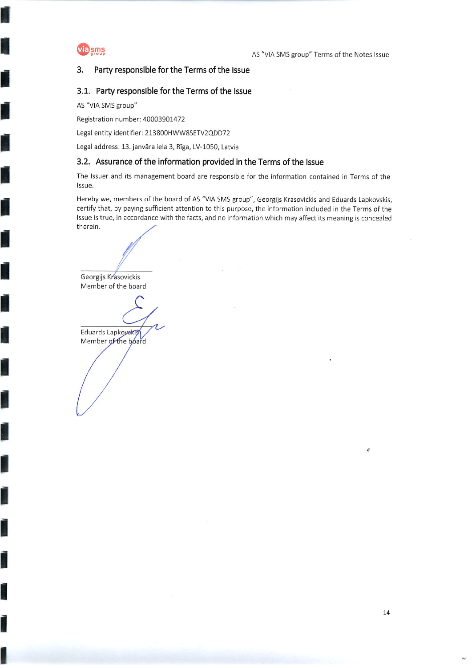

#### Party responsible for the Terms of the Issue 3.

#### 3.1. Party responsible for the Terms of the Issue

AS "VIA SMS group"

Registration number: 40003901472

Legal entity identifier: 213800HWW8SETV2QDD72

Legal address: 13. janvāra iela 3, Rīga, LV-1050, Latvia

### 3.2. Assurance of the information provided in the Terms of the Issue

The Issuer and its management board are responsible for the information contained in Terms of the Issue.

Hereby we, members of the board of AS "VIA SMS group", Georgijs Krasovickis and Eduards Lapkovskis, certify that, by paying sufficient attention to this purpose, the information included in the Terms of the Issue is true, in accordance with the facts, and no information which may affect its meaning is concealed therein.

Georgijs Krasovickis Member of the board

Eduards Lapkoyskis Member of the board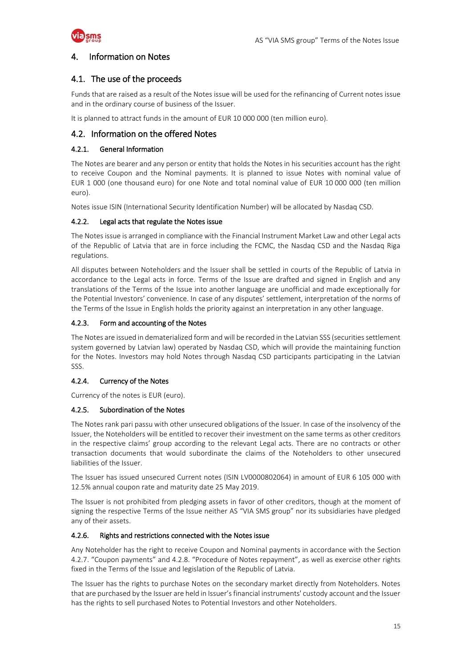

### <span id="page-14-0"></span>4. Information on Notes

### 4.1. The use of the proceeds

Funds that are raised as a result of the Notes issue will be used for the refinancing of Current notes issue and in the ordinary course of business of the Issuer.

It is planned to attract funds in the amount of EUR 10 000 000 (ten million euro).

### 4.2. Information on the offered Notes

#### 4.2.1. General Information

The Notes are bearer and any person or entity that holds the Notes in his securities account has the right to receive Coupon and the Nominal payments. It is planned to issue Notes with nominal value of EUR 1 000 (one thousand euro) for one Note and total nominal value of EUR 10 000 000 (ten million euro).

Notes issue ISIN (International Security Identification Number) will be allocated by Nasdaq CSD.

#### 4.2.2. Legal acts that regulate the Notes issue

The Notes issue is arranged in compliance with the Financial Instrument Market Law and other Legal acts of the Republic of Latvia that are in force including the FCMC, the Nasdaq CSD and the Nasdaq Riga regulations.

All disputes between Noteholders and the Issuer shall be settled in courts of the Republic of Latvia in accordance to the Legal acts in force. Terms of the Issue are drafted and signed in English and any translations of the Terms of the Issue into another language are unofficial and made exceptionally for the Potential Investors' convenience. In case of any disputes' settlement, interpretation of the norms of the Terms of the Issue in English holds the priority against an interpretation in any other language.

#### 4.2.3. Form and accounting of the Notes

The Notes are issued in dematerialized form and will be recorded in the Latvian SSS (securities settlement system governed by Latvian law) operated by Nasdaq CSD, which will provide the maintaining function for the Notes. Investors may hold Notes through Nasdaq CSD participants participating in the Latvian SSS.

#### 4.2.4. Currency of the Notes

Currency of the notes is EUR (euro).

#### 4.2.5. Subordination of the Notes

The Notes rank pari passu with other unsecured obligations of the Issuer. In case of the insolvency of the Issuer, the Noteholders will be entitled to recover their investment on the same terms as other creditors in the respective claims' group according to the relevant Legal acts. There are no contracts or other transaction documents that would subordinate the claims of the Noteholders to other unsecured liabilities of the Issuer.

The Issuer has issued unsecured Current notes (ISIN LV0000802064) in amount of EUR 6 105 000 with 12.5% annual coupon rate and maturity date 25 May 2019.

The Issuer is not prohibited from pledging assets in favor of other creditors, though at the moment of signing the respective Terms of the Issue neither AS "VIA SMS group" nor its subsidiaries have pledged any of their assets.

#### 4.2.6. Rights and restrictions connected with the Notes issue

Any Noteholder has the right to receive Coupon and Nominal payments in accordance with the Section 4.2.7. "Coupon payments" and 4.2.8. "Procedure of Notes repayment", as well as exercise other rights fixed in the Terms of the Issue and legislation of the Republic of Latvia.

The Issuer has the rights to purchase Notes on the secondary market directly from Noteholders. Notes that are purchased by the Issuer are held in Issuer's financial instruments' custody account and the Issuer has the rights to sell purchased Notes to Potential Investors and other Noteholders.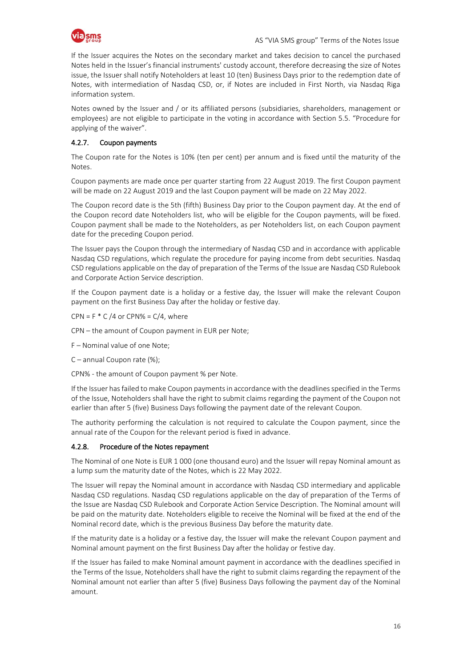

If the Issuer acquires the Notes on the secondary market and takes decision to cancel the purchased Notes held in the Issuer's financial instruments' custody account, therefore decreasing the size of Notes issue, the Issuer shall notify Noteholders at least 10 (ten) Business Days prior to the redemption date of Notes, with intermediation of Nasdaq CSD, or, if Notes are included in First North, via Nasdaq Riga information system.

Notes owned by the Issuer and / or its affiliated persons (subsidiaries, shareholders, management or employees) are not eligible to participate in the voting in accordance with Section 5.5. "Procedure for applying of the waiver".

### 4.2.7. Coupon payments

The Coupon rate for the Notes is 10% (ten per cent) per annum and is fixed until the maturity of the Notes.

Coupon payments are made once per quarter starting from 22 August 2019. The first Coupon payment will be made on 22 August 2019 and the last Coupon payment will be made on 22 May 2022.

The Coupon record date is the 5th (fifth) Business Day prior to the Coupon payment day. At the end of the Coupon record date Noteholders list, who will be eligible for the Coupon payments, will be fixed. Coupon payment shall be made to the Noteholders, as per Noteholders list, on each Coupon payment date for the preceding Coupon period.

The Issuer pays the Coupon through the intermediary of Nasdaq CSD and in accordance with applicable Nasdaq CSD regulations, which regulate the procedure for paying income from debt securities. Nasdaq CSD regulations applicable on the day of preparation of the Terms of the Issue are Nasdaq CSD Rulebook and Corporate Action Service description.

If the Coupon payment date is a holiday or a festive day, the Issuer will make the relevant Coupon payment on the first Business Day after the holiday or festive day.

 $CPN = F * C / 4$  or  $CPN\% = C / 4$ , where

CPN – the amount of Coupon payment in EUR per Note;

F – Nominal value of one Note;

C – annual Coupon rate (%);

CPN% - the amount of Coupon payment % per Note.

If the Issuer has failed to make Coupon payments in accordance with the deadlines specified in the Terms of the Issue, Noteholders shall have the right to submit claims regarding the payment of the Coupon not earlier than after 5 (five) Business Days following the payment date of the relevant Coupon.

The authority performing the calculation is not required to calculate the Coupon payment, since the annual rate of the Coupon for the relevant period is fixed in advance.

#### 4.2.8. Procedure of the Notes repayment

The Nominal of one Note is EUR 1 000 (one thousand euro) and the Issuer will repay Nominal amount as a lump sum the maturity date of the Notes, which is 22 May 2022.

The Issuer will repay the Nominal amount in accordance with Nasdaq CSD intermediary and applicable Nasdaq CSD regulations. Nasdaq CSD regulations applicable on the day of preparation of the Terms of the Issue are Nasdaq CSD Rulebook and Corporate Action Service Description. The Nominal amount will be paid on the maturity date. Noteholders eligible to receive the Nominal will be fixed at the end of the Nominal record date, which is the previous Business Day before the maturity date.

If the maturity date is a holiday or a festive day, the Issuer will make the relevant Coupon payment and Nominal amount payment on the first Business Day after the holiday or festive day.

If the Issuer has failed to make Nominal amount payment in accordance with the deadlines specified in the Terms of the Issue, Noteholders shall have the right to submit claims regarding the repayment of the Nominal amount not earlier than after 5 (five) Business Days following the payment day of the Nominal amount.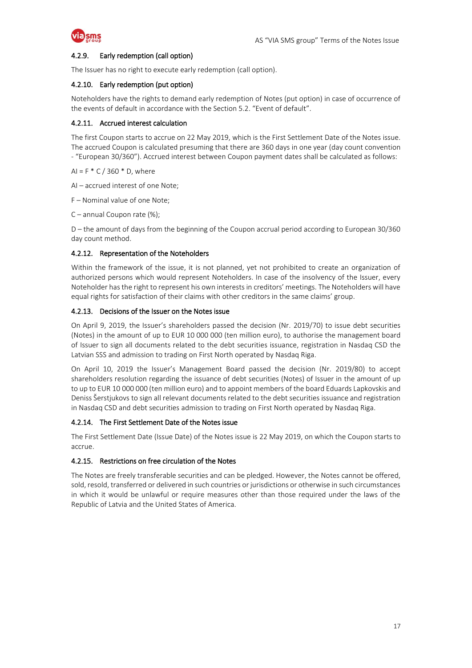

#### 4.2.9. Early redemption (call option)

The Issuer has no right to execute early redemption (call option).

#### 4.2.10. Early redemption (put option)

Noteholders have the rights to demand early redemption of Notes (put option) in case of occurrence of the events of default in accordance with the Section 5.2. "Event of default".

#### 4.2.11. Accrued interest calculation

The first Coupon starts to accrue on 22 May 2019, which is the First Settlement Date of the Notes issue. The accrued Coupon is calculated presuming that there are 360 days in one year (day count convention - "European 30/360"). Accrued interest between Coupon payment dates shall be calculated as follows:

 $AI = F * C / 360 * D$ , where

AI – accrued interest of one Note;

F – Nominal value of one Note;

C – annual Coupon rate (%);

D – the amount of days from the beginning of the Coupon accrual period according to European 30/360 day count method.

#### 4.2.12. Representation of the Noteholders

Within the framework of the issue, it is not planned, yet not prohibited to create an organization of authorized persons which would represent Noteholders. In case of the insolvency of the Issuer, every Noteholder has the right to represent his own interests in creditors' meetings. The Noteholders will have equal rights for satisfaction of their claims with other creditors in the same claims' group.

#### 4.2.13. Decisions of the Issuer on the Notes issue

On April 9, 2019, the Issuer's shareholders passed the decision (Nr. 2019/70) to issue debt securities (Notes) in the amount of up to EUR 10 000 000 (ten million euro), to authorise the management board of Issuer to sign all documents related to the debt securities issuance, registration in Nasdaq CSD the Latvian SSS and admission to trading on First North operated by Nasdaq Riga.

On April 10, 2019 the Issuer's Management Board passed the decision (Nr. 2019/80) to accept shareholders resolution regarding the issuance of debt securities (Notes) of Issuer in the amount of up to up to EUR 10 000 000 (ten million euro) and to appoint members of the board Eduards Lapkovskis and Deniss Šerstjukovs to sign all relevant documents related to the debt securities issuance and registration in Nasdaq CSD and debt securities admission to trading on First North operated by Nasdaq Riga.

#### 4.2.14. The First Settlement Date of the Notes issue

The First Settlement Date (Issue Date) of the Notes issue is 22 May 2019, on which the Coupon starts to accrue.

#### 4.2.15. Restrictions on free circulation of the Notes

The Notes are freely transferable securities and can be pledged. However, the Notes cannot be offered, sold, resold, transferred or delivered in such countries or jurisdictions or otherwise in such circumstances in which it would be unlawful or require measures other than those required under the laws of the Republic of Latvia and the United States of America.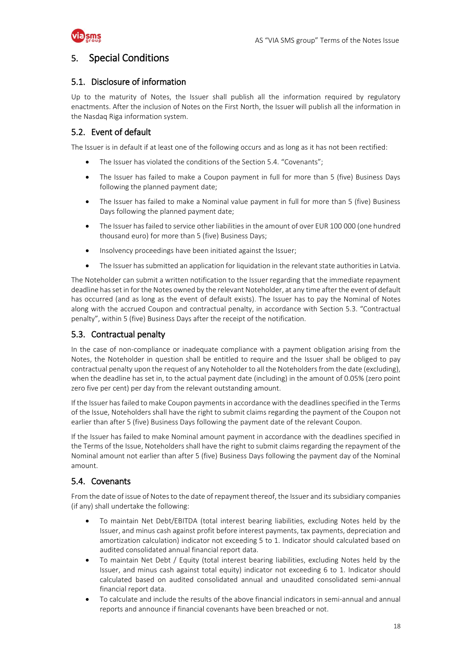

### <span id="page-17-0"></span>5. Special Conditions

### 5.1. Disclosure of information

Up to the maturity of Notes, the Issuer shall publish all the information required by regulatory enactments. After the inclusion of Notes on the First North, the Issuer will publish all the information in the Nasdaq Riga information system.

### 5.2. Event of default

The Issuer is in default if at least one of the following occurs and as long as it has not been rectified:

- The Issuer has violated the conditions of the Section 5.4. "Covenants";
- The Issuer has failed to make a Coupon payment in full for more than 5 (five) Business Days following the planned payment date;
- The Issuer has failed to make a Nominal value payment in full for more than 5 (five) Business Days following the planned payment date;
- The Issuer has failed to service other liabilities in the amount of over EUR 100 000 (one hundred thousand euro) for more than 5 (five) Business Days;
- Insolvency proceedings have been initiated against the Issuer;
- The Issuer has submitted an application for liquidation in the relevant state authorities in Latvia.

The Noteholder can submit a written notification to the Issuer regarding that the immediate repayment deadline has set in for the Notes owned by the relevant Noteholder, at any time after the event of default has occurred (and as long as the event of default exists). The Issuer has to pay the Nominal of Notes along with the accrued Coupon and contractual penalty, in accordance with Section 5.3. "Contractual penalty", within 5 (five) Business Days after the receipt of the notification.

### 5.3. Contractual penalty

In the case of non-compliance or inadequate compliance with a payment obligation arising from the Notes, the Noteholder in question shall be entitled to require and the Issuer shall be obliged to pay contractual penalty upon the request of any Noteholder to all the Noteholders from the date (excluding), when the deadline has set in, to the actual payment date (including) in the amount of 0.05% (zero point zero five per cent) per day from the relevant outstanding amount.

If the Issuer has failed to make Coupon payments in accordance with the deadlines specified in the Terms of the Issue, Noteholders shall have the right to submit claims regarding the payment of the Coupon not earlier than after 5 (five) Business Days following the payment date of the relevant Coupon.

If the Issuer has failed to make Nominal amount payment in accordance with the deadlines specified in the Terms of the Issue, Noteholders shall have the right to submit claims regarding the repayment of the Nominal amount not earlier than after 5 (five) Business Days following the payment day of the Nominal amount.

### 5.4. Covenants

From the date of issue of Notes to the date of repayment thereof, the Issuer and its subsidiary companies (if any) shall undertake the following:

- To maintain Net Debt/EBITDA (total interest bearing liabilities, excluding Notes held by the Issuer, and minus cash against profit before interest payments, tax payments, depreciation and amortization calculation) indicator not exceeding 5 to 1. Indicator should calculated based on audited consolidated annual financial report data.
- To maintain Net Debt / Equity (total interest bearing liabilities, excluding Notes held by the Issuer, and minus cash against total equity) indicator not exceeding 6 to 1. Indicator should calculated based on audited consolidated annual and unaudited consolidated semi-annual financial report data.
- To calculate and include the results of the above financial indicators in semi-annual and annual reports and announce if financial covenants have been breached or not.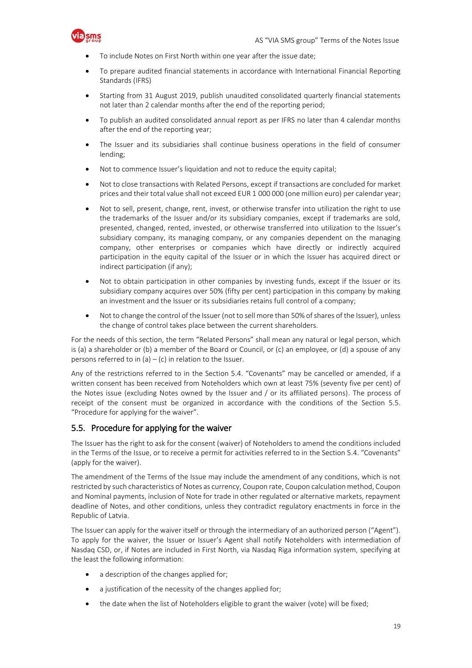

- To include Notes on First North within one year after the issue date;
- To prepare audited financial statements in accordance with International Financial Reporting Standards (IFRS)
- Starting from 31 August 2019, publish unaudited consolidated quarterly financial statements not later than 2 calendar months after the end of the reporting period;
- To publish an audited consolidated annual report as per IFRS no later than 4 calendar months after the end of the reporting year;
- The Issuer and its subsidiaries shall continue business operations in the field of consumer lending;
- Not to commence Issuer's liquidation and not to reduce the equity capital;
- Not to close transactions with Related Persons, except if transactions are concluded for market prices and their total value shall not exceed EUR 1 000 000 (one million euro) per calendar year;
- Not to sell, present, change, rent, invest, or otherwise transfer into utilization the right to use the trademarks of the Issuer and/or its subsidiary companies, except if trademarks are sold, presented, changed, rented, invested, or otherwise transferred into utilization to the Issuer's subsidiary company, its managing company, or any companies dependent on the managing company, other enterprises or companies which have directly or indirectly acquired participation in the equity capital of the Issuer or in which the Issuer has acquired direct or indirect participation (if any);
- Not to obtain participation in other companies by investing funds, except if the Issuer or its subsidiary company acquires over 50% (fifty per cent) participation in this company by making an investment and the Issuer or its subsidiaries retains full control of a company;
- Not to change the control of the Issuer (not to sell more than 50% of shares of the Issuer), unless the change of control takes place between the current shareholders.

For the needs of this section, the term "Related Persons" shall mean any natural or legal person, which is (a) a shareholder or (b) a member of the Board or Council, or (c) an employee, or (d) a spouse of any persons referred to in  $(a) - (c)$  in relation to the Issuer.

Any of the restrictions referred to in the Section 5.4. "Covenants" may be cancelled or amended, if a written consent has been received from Noteholders which own at least 75% (seventy five per cent) of the Notes issue (excluding Notes owned by the Issuer and / or its affiliated persons). The process of receipt of the consent must be organized in accordance with the conditions of the Section 5.5. "Procedure for applying for the waiver".

#### 5.5. Procedure for applying for the waiver

The Issuer has the right to ask for the consent (waiver) of Noteholders to amend the conditions included in the Terms of the Issue, or to receive a permit for activities referred to in the Section 5.4. "Covenants" (apply for the waiver).

The amendment of the Terms of the Issue may include the amendment of any conditions, which is not restricted by such characteristics of Notes as currency, Coupon rate, Coupon calculation method, Coupon and Nominal payments, inclusion of Note for trade in other regulated or alternative markets, repayment deadline of Notes, and other conditions, unless they contradict regulatory enactments in force in the Republic of Latvia.

The Issuer can apply for the waiver itself or through the intermediary of an authorized person ("Agent"). To apply for the waiver, the Issuer or Issuer's Agent shall notify Noteholders with intermediation of Nasdaq CSD, or, if Notes are included in First North, via Nasdaq Riga information system, specifying at the least the following information:

- a description of the changes applied for;
- a justification of the necessity of the changes applied for;
- the date when the list of Noteholders eligible to grant the waiver (vote) will be fixed;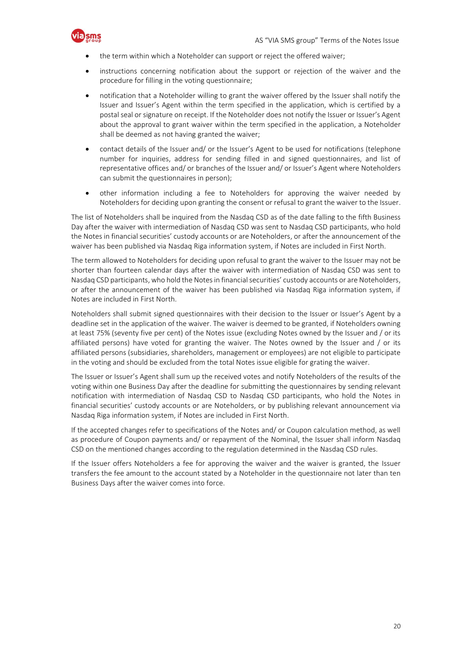

- the term within which a Noteholder can support or reject the offered waiver;
- instructions concerning notification about the support or rejection of the waiver and the procedure for filling in the voting questionnaire;
- notification that a Noteholder willing to grant the waiver offered by the Issuer shall notify the Issuer and Issuer's Agent within the term specified in the application, which is certified by a postal seal or signature on receipt. If the Noteholder does not notify the Issuer or Issuer's Agent about the approval to grant waiver within the term specified in the application, a Noteholder shall be deemed as not having granted the waiver;
- contact details of the Issuer and/ or the Issuer's Agent to be used for notifications (telephone number for inquiries, address for sending filled in and signed questionnaires, and list of representative offices and/ or branches of the Issuer and/ or Issuer's Agent where Noteholders can submit the questionnaires in person);
- other information including a fee to Noteholders for approving the waiver needed by Noteholders for deciding upon granting the consent or refusal to grant the waiver to the Issuer.

The list of Noteholders shall be inquired from the Nasdaq CSD as of the date falling to the fifth Business Day after the waiver with intermediation of Nasdaq CSD was sent to Nasdaq CSD participants, who hold the Notes in financial securities' custody accounts or are Noteholders, or after the announcement of the waiver has been published via Nasdaq Riga information system, if Notes are included in First North.

The term allowed to Noteholders for deciding upon refusal to grant the waiver to the Issuer may not be shorter than fourteen calendar days after the waiver with intermediation of Nasdaq CSD was sent to Nasdaq CSD participants, who hold the Notes in financial securities' custody accounts or are Noteholders, or after the announcement of the waiver has been published via Nasdaq Riga information system, if Notes are included in First North.

Noteholders shall submit signed questionnaires with their decision to the Issuer or Issuer's Agent by a deadline set in the application of the waiver. The waiver is deemed to be granted, if Noteholders owning at least 75% (seventy five per cent) of the Notes issue (excluding Notes owned by the Issuer and / or its affiliated persons) have voted for granting the waiver. The Notes owned by the Issuer and / or its affiliated persons (subsidiaries, shareholders, management or employees) are not eligible to participate in the voting and should be excluded from the total Notes issue eligible for grating the waiver.

The Issuer or Issuer's Agent shall sum up the received votes and notify Noteholders of the results of the voting within one Business Day after the deadline for submitting the questionnaires by sending relevant notification with intermediation of Nasdaq CSD to Nasdaq CSD participants, who hold the Notes in financial securities' custody accounts or are Noteholders, or by publishing relevant announcement via Nasdaq Riga information system, if Notes are included in First North.

If the accepted changes refer to specifications of the Notes and/ or Coupon calculation method, as well as procedure of Coupon payments and/ or repayment of the Nominal, the Issuer shall inform Nasdaq CSD on the mentioned changes according to the regulation determined in the Nasdaq CSD rules.

If the Issuer offers Noteholders a fee for approving the waiver and the waiver is granted, the Issuer transfers the fee amount to the account stated by a Noteholder in the questionnaire not later than ten Business Days after the waiver comes into force.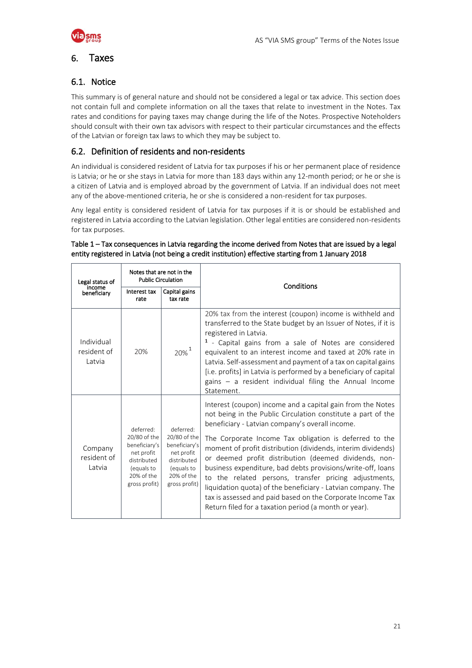

### <span id="page-20-0"></span>6. Taxes

### 6.1. Notice

This summary is of general nature and should not be considered a legal or tax advice. This section does not contain full and complete information on all the taxes that relate to investment in the Notes. Tax rates and conditions for paying taxes may change during the life of the Notes. Prospective Noteholders should consult with their own tax advisors with respect to their particular circumstances and the effects of the Latvian or foreign tax laws to which they may be subject to.

### 6.2. Definition of residents and non-residents

An individual is considered resident of Latvia for tax purposes if his or her permanent place of residence is Latvia; or he or she stays in Latvia for more than 183 days within any 12-month period; or he or she is a citizen of Latvia and is employed abroad by the government of Latvia. If an individual does not meet any of the above-mentioned criteria, he or she is considered a non-resident for tax purposes.

Any legal entity is considered resident of Latvia for tax purposes if it is or should be established and registered in Latvia according to the Latvian legislation. Other legal entities are considered non-residents for tax purposes.

| Legal status of                     |                                                                                                                      | Notes that are not in the<br><b>Public Circulation</b>                                                               | Conditions                                                                                                                                                                                                                                                                                                                                                                                                                                                                                                                                                                                                                                                                      |
|-------------------------------------|----------------------------------------------------------------------------------------------------------------------|----------------------------------------------------------------------------------------------------------------------|---------------------------------------------------------------------------------------------------------------------------------------------------------------------------------------------------------------------------------------------------------------------------------------------------------------------------------------------------------------------------------------------------------------------------------------------------------------------------------------------------------------------------------------------------------------------------------------------------------------------------------------------------------------------------------|
| income<br>beneficiary               | Interest tax<br>rate                                                                                                 | Capital gains<br>tax rate                                                                                            |                                                                                                                                                                                                                                                                                                                                                                                                                                                                                                                                                                                                                                                                                 |
| Individual<br>resident of<br>Latvia | 20%                                                                                                                  | $20\%$ <sup>1</sup>                                                                                                  | 20% tax from the interest (coupon) income is withheld and<br>transferred to the State budget by an Issuer of Notes, if it is<br>registered in Latvia.<br><sup>1</sup> - Capital gains from a sale of Notes are considered<br>equivalent to an interest income and taxed at 20% rate in<br>Latvia. Self-assessment and payment of a tax on capital gains<br>[i.e. profits] in Latvia is performed by a beneficiary of capital<br>gains - a resident individual filing the Annual Income<br>Statement.                                                                                                                                                                            |
| Company<br>resident of<br>Latvia    | deferred:<br>20/80 of the<br>beneficiary's<br>net profit<br>distributed<br>(equals to<br>20% of the<br>gross profit) | deferred:<br>20/80 of the<br>beneficiary's<br>net profit<br>distributed<br>(equals to<br>20% of the<br>gross profit) | Interest (coupon) income and a capital gain from the Notes<br>not being in the Public Circulation constitute a part of the<br>beneficiary - Latvian company's overall income.<br>The Corporate Income Tax obligation is deferred to the<br>moment of profit distribution (dividends, interim dividends)<br>or deemed profit distribution (deemed dividends, non-<br>business expenditure, bad debts provisions/write-off, loans<br>to the related persons, transfer pricing adjustments,<br>liquidation quota) of the beneficiary - Latvian company. The<br>tax is assessed and paid based on the Corporate Income Tax<br>Return filed for a taxation period (a month or year). |

#### Table 1 – Tax consequences in Latvia regarding the income derived from Notes that are issued by a legal entity registered in Latvia (not being a credit institution) effective starting from 1 January 2018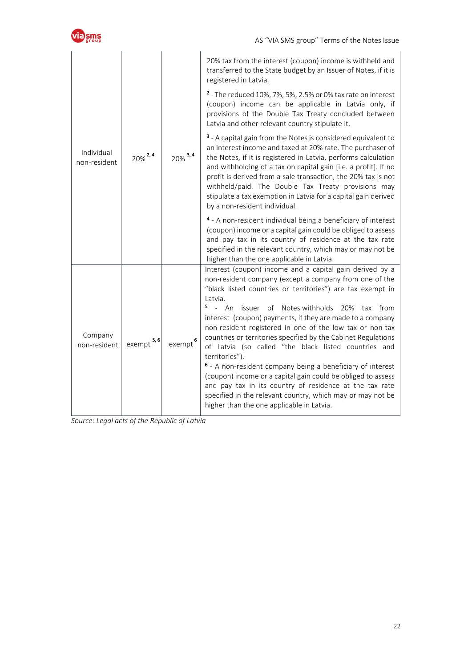

|                            | $20\%$ <sup>2,4</sup> | $20\%$ <sup>3,4</sup> | 20% tax from the interest (coupon) income is withheld and<br>transferred to the State budget by an Issuer of Notes, if it is<br>registered in Latvia.                                                                                                                                                                                                                                                                                                                                                                                                                                                                                                                                                                                                                                                                                                        |
|----------------------------|-----------------------|-----------------------|--------------------------------------------------------------------------------------------------------------------------------------------------------------------------------------------------------------------------------------------------------------------------------------------------------------------------------------------------------------------------------------------------------------------------------------------------------------------------------------------------------------------------------------------------------------------------------------------------------------------------------------------------------------------------------------------------------------------------------------------------------------------------------------------------------------------------------------------------------------|
| Individual<br>non-resident |                       |                       | <sup>2</sup> - The reduced 10%, 7%, 5%, 2.5% or 0% tax rate on interest<br>(coupon) income can be applicable in Latvia only, if<br>provisions of the Double Tax Treaty concluded between<br>Latvia and other relevant country stipulate it.                                                                                                                                                                                                                                                                                                                                                                                                                                                                                                                                                                                                                  |
|                            |                       |                       | <sup>3</sup> - A capital gain from the Notes is considered equivalent to<br>an interest income and taxed at 20% rate. The purchaser of<br>the Notes, if it is registered in Latvia, performs calculation<br>and withholding of a tax on capital gain [i.e. a profit]. If no<br>profit is derived from a sale transaction, the 20% tax is not<br>withheld/paid. The Double Tax Treaty provisions may<br>stipulate a tax exemption in Latvia for a capital gain derived<br>by a non-resident individual.                                                                                                                                                                                                                                                                                                                                                       |
|                            |                       |                       | 4 - A non-resident individual being a beneficiary of interest<br>(coupon) income or a capital gain could be obliged to assess<br>and pay tax in its country of residence at the tax rate<br>specified in the relevant country, which may or may not be<br>higher than the one applicable in Latvia.                                                                                                                                                                                                                                                                                                                                                                                                                                                                                                                                                          |
| Company<br>non-resident    | 5, 6<br>exempt        | exempt                | Interest (coupon) income and a capital gain derived by a<br>non-resident company (except a company from one of the<br>"black listed countries or territories") are tax exempt in<br>Latvia.<br>5<br>$\mathbf{r}$<br>An<br>of Notes withholds 20%<br>issuer<br>from<br>tax<br>interest (coupon) payments, if they are made to a company<br>non-resident registered in one of the low tax or non-tax<br>countries or territories specified by the Cabinet Regulations<br>of Latvia (so called "the black listed countries and<br>territories").<br><sup>6</sup> - A non-resident company being a beneficiary of interest<br>(coupon) income or a capital gain could be obliged to assess<br>and pay tax in its country of residence at the tax rate<br>specified in the relevant country, which may or may not be<br>higher than the one applicable in Latvia. |

*Source: Legal acts of the Republic of Latvia*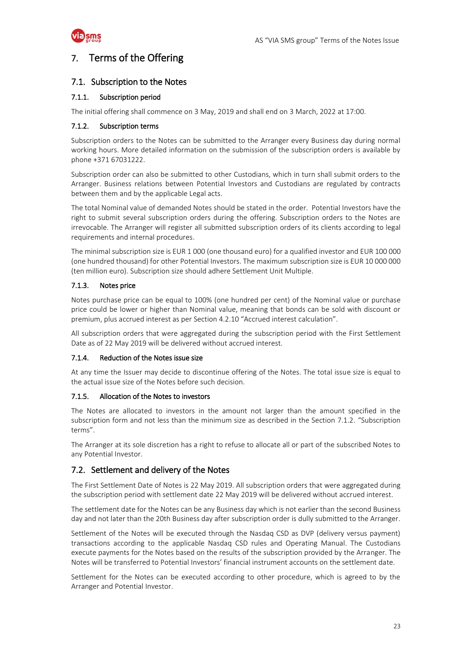

### <span id="page-22-0"></span>7. Terms of the Offering

### 7.1. Subscription to the Notes

#### 7.1.1. Subscription period

The initial offering shall commence on 3 May, 2019 and shall end on 3 March, 2022 at 17:00.

#### 7.1.2. Subscription terms

Subscription orders to the Notes can be submitted to the Arranger every Business day during normal working hours. More detailed information on the submission of the subscription orders is available by phone +371 67031222.

Subscription order can also be submitted to other Custodians, which in turn shall submit orders to the Arranger. Business relations between Potential Investors and Custodians are regulated by contracts between them and by the applicable Legal acts.

The total Nominal value of demanded Notes should be stated in the order. Potential Investors have the right to submit several subscription orders during the offering. Subscription orders to the Notes are irrevocable. The Arranger will register all submitted subscription orders of its clients according to legal requirements and internal procedures.

The minimal subscription size is EUR 1 000 (one thousand euro) for a qualified investor and EUR 100 000 (one hundred thousand) for other Potential Investors. The maximum subscription size is EUR 10 000 000 (ten million euro). Subscription size should adhere Settlement Unit Multiple.

### 7.1.3. Notes price

Notes purchase price can be equal to 100% (one hundred per cent) of the Nominal value or purchase price could be lower or higher than Nominal value, meaning that bonds can be sold with discount or premium, plus accrued interest as per Section 4.2.10 "Accrued interest calculation".

All subscription orders that were aggregated during the subscription period with the First Settlement Date as of 22 May 2019 will be delivered without accrued interest.

#### 7.1.4. Reduction of the Notes issue size

At any time the Issuer may decide to discontinue offering of the Notes. The total issue size is equal to the actual issue size of the Notes before such decision.

#### 7.1.5. Allocation of the Notes to investors

The Notes are allocated to investors in the amount not larger than the amount specified in the subscription form and not less than the minimum size as described in the Section 7.1.2. "Subscription terms".

The Arranger at its sole discretion has a right to refuse to allocate all or part of the subscribed Notes to any Potential Investor.

### 7.2. Settlement and delivery of the Notes

The First Settlement Date of Notes is 22 May 2019. All subscription orders that were aggregated during the subscription period with settlement date 22 May 2019 will be delivered without accrued interest.

The settlement date for the Notes can be any Business day which is not earlier than the second Business day and not later than the 20th Business day after subscription order is dully submitted to the Arranger.

Settlement of the Notes will be executed through the Nasdaq CSD as DVP (delivery versus payment) transactions according to the applicable Nasdaq CSD rules and Operating Manual. The Custodians execute payments for the Notes based on the results of the subscription provided by the Arranger. The Notes will be transferred to Potential Investors' financial instrument accounts on the settlement date.

Settlement for the Notes can be executed according to other procedure, which is agreed to by the Arranger and Potential Investor.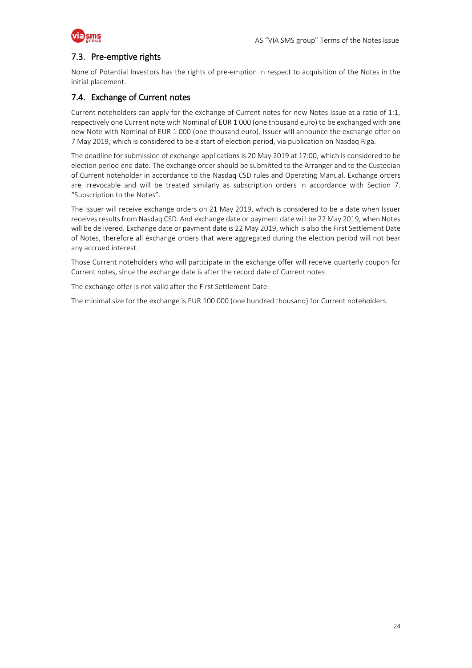

### 7.3. Pre-emptive rights

None of Potential Investors has the rights of pre-emption in respect to acquisition of the Notes in the initial placement.

### 7.4. Exchange of Current notes

Current noteholders can apply for the exchange of Current notes for new Notes Issue at a ratio of 1:1, respectively one Current note with Nominal of EUR 1 000 (one thousand euro) to be exchanged with one new Note with Nominal of EUR 1 000 (one thousand euro). Issuer will announce the exchange offer on 7 May 2019, which is considered to be a start of election period, via publication on Nasdaq Riga.

The deadline for submission of exchange applications is 20 May 2019 at 17:00, which is considered to be election period end date. The exchange order should be submitted to the Arranger and to the Custodian of Current noteholder in accordance to the Nasdaq CSD rules and Operating Manual. Exchange orders are irrevocable and will be treated similarly as subscription orders in accordance with Section 7. "Subscription to the Notes".

The Issuer will receive exchange orders on 21 May 2019, which is considered to be a date when Issuer receives results from Nasdaq CSD. And exchange date or payment date will be 22 May 2019, when Notes will be delivered. Exchange date or payment date is 22 May 2019, which is also the First Settlement Date of Notes, therefore all exchange orders that were aggregated during the election period will not bear any accrued interest.

Those Current noteholders who will participate in the exchange offer will receive quarterly coupon for Current notes, since the exchange date is after the record date of Current notes.

The exchange offer is not valid after the First Settlement Date.

The minimal size for the exchange is EUR 100 000 (one hundred thousand) for Current noteholders.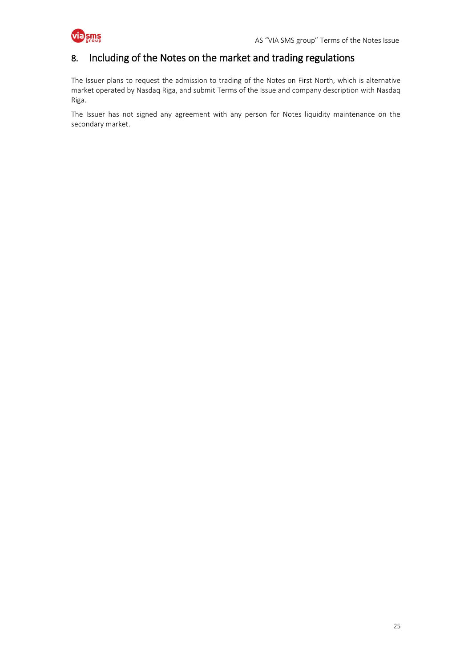

### <span id="page-24-0"></span>8. Including of the Notes on the market and trading regulations

The Issuer plans to request the admission to trading of the Notes on First North, which is alternative market operated by Nasdaq Riga, and submit Terms of the Issue and company description with Nasdaq Riga.

The Issuer has not signed any agreement with any person for Notes liquidity maintenance on the secondary market.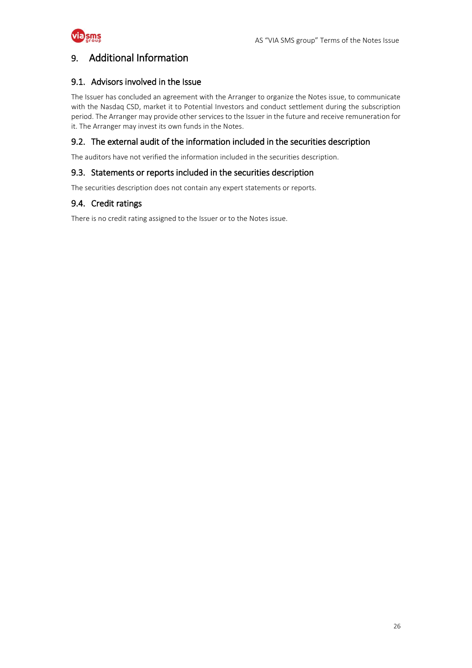

### <span id="page-25-0"></span>9. Additional Information

### 9.1. Advisors involved in the Issue

The Issuer has concluded an agreement with the Arranger to organize the Notes issue, to communicate with the Nasdaq CSD, market it to Potential Investors and conduct settlement during the subscription period. The Arranger may provide other services to the Issuer in the future and receive remuneration for it. The Arranger may invest its own funds in the Notes.

### 9.2. The external audit of the information included in the securities description

The auditors have not verified the information included in the securities description.

### 9.3. Statements or reports included in the securities description

The securities description does not contain any expert statements or reports.

### 9.4. Credit ratings

There is no credit rating assigned to the Issuer or to the Notes issue.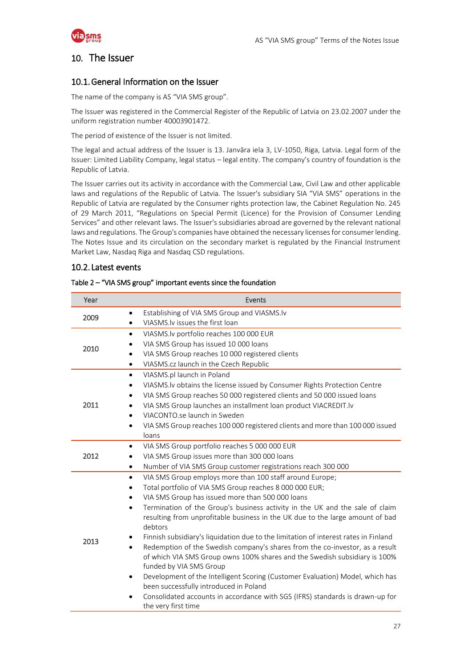

### <span id="page-26-0"></span>10. The Issuer

### 10.1.General Information on the Issuer

The name of the company is AS "VIA SMS group".

The Issuer was registered in the Commercial Register of the Republic of Latvia on 23.02.2007 under the uniform registration number 40003901472.

The period of existence of the Issuer is not limited.

The legal and actual address of the Issuer is 13. Janvāra iela 3, LV-1050, Riga, Latvia. Legal form of the Issuer: Limited Liability Company, legal status – legal entity. The company's country of foundation is the Republic of Latvia.

The Issuer carries out its activity in accordance with the Commercial Law, Civil Law and other applicable laws and regulations of the Republic of Latvia. The Issuer's subsidiary SIA "VIA SMS" operations in the Republic of Latvia are regulated by the Consumer rights protection law, the Cabinet Regulation No. 245 of 29 March 2011, "Regulations on Special Permit (Licence) for the Provision of Consumer Lending Services" and other relevant laws. The Issuer's subsidiaries abroad are governed by the relevant national laws and regulations. The Group's companies have obtained the necessary licenses for consumer lending. The Notes Issue and its circulation on the secondary market is regulated by the Financial Instrument Market Law, Nasdaq Riga and Nasdaq CSD regulations.

### 10.2. Latest events

| Year | Events                                                                                                |
|------|-------------------------------------------------------------------------------------------------------|
|      | Establishing of VIA SMS Group and VIASMS.lv<br>$\bullet$                                              |
| 2009 | VIASMS. Iv issues the first loan<br>$\bullet$                                                         |
|      | VIASMS.lv portfolio reaches 100 000 EUR<br>$\bullet$                                                  |
| 2010 | VIA SMS Group has issued 10 000 loans<br>$\bullet$                                                    |
|      | VIA SMS Group reaches 10 000 registered clients<br>$\bullet$                                          |
|      | VIASMS.cz launch in the Czech Republic<br>$\bullet$                                                   |
|      | VIASMS.pl launch in Poland<br>$\bullet$                                                               |
|      | VIASMS. Iv obtains the license issued by Consumer Rights Protection Centre<br>$\bullet$               |
|      | VIA SMS Group reaches 50 000 registered clients and 50 000 issued loans<br>$\bullet$                  |
| 2011 | VIA SMS Group launches an installment loan product VIACREDIT.lv<br>$\bullet$                          |
|      | VIACONTO.se launch in Sweden<br>$\bullet$                                                             |
|      | VIA SMS Group reaches 100 000 registered clients and more than 100 000 issued<br>$\bullet$            |
|      | loans                                                                                                 |
|      | VIA SMS Group portfolio reaches 5 000 000 EUR<br>$\bullet$                                            |
| 2012 | VIA SMS Group issues more than 300 000 loans                                                          |
|      | Number of VIA SMS Group customer registrations reach 300 000<br>$\bullet$                             |
|      | VIA SMS Group employs more than 100 staff around Europe;<br>$\bullet$                                 |
|      | Total portfolio of VIA SMS Group reaches 8 000 000 EUR;<br>$\bullet$                                  |
|      | VIA SMS Group has issued more than 500 000 loans<br>$\bullet$                                         |
|      | Termination of the Group's business activity in the UK and the sale of claim<br>$\bullet$             |
|      | resulting from unprofitable business in the UK due to the large amount of bad                         |
|      | debtors                                                                                               |
| 2013 | Finnish subsidiary's liquidation due to the limitation of interest rates in Finland                   |
|      | Redemption of the Swedish company's shares from the co-investor, as a result<br>$\bullet$             |
|      | of which VIA SMS Group owns 100% shares and the Swedish subsidiary is 100%<br>funded by VIA SMS Group |
|      | Development of the Intelligent Scoring (Customer Evaluation) Model, which has<br>$\bullet$            |
|      | been successfully introduced in Poland                                                                |
|      | Consolidated accounts in accordance with SGS (IFRS) standards is drawn-up for                         |
|      | the very first time                                                                                   |

#### Table 2 – "VIA SMS group" important events since the foundation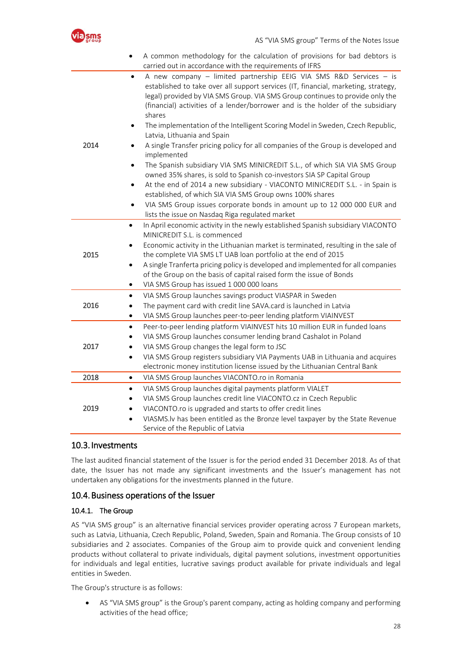

|      | A common methodology for the calculation of provisions for bad debtors is<br>carried out in accordance with the requirements of IFRS                                                                                                                                                                                                                |
|------|-----------------------------------------------------------------------------------------------------------------------------------------------------------------------------------------------------------------------------------------------------------------------------------------------------------------------------------------------------|
|      | A new company - limited partnership EEIG VIA SMS R&D Services - is<br>$\bullet$<br>established to take over all support services (IT, financial, marketing, strategy,<br>legal) provided by VIA SMS Group. VIA SMS Group continues to provide only the<br>(financial) activities of a lender/borrower and is the holder of the subsidiary<br>shares |
|      | The implementation of the Intelligent Scoring Model in Sweden, Czech Republic,<br>Latvia, Lithuania and Spain                                                                                                                                                                                                                                       |
| 2014 | A single Transfer pricing policy for all companies of the Group is developed and<br>implemented                                                                                                                                                                                                                                                     |
|      | The Spanish subsidiary VIA SMS MINICREDIT S.L., of which SIA VIA SMS Group<br>$\bullet$<br>owned 35% shares, is sold to Spanish co-investors SIA SP Capital Group                                                                                                                                                                                   |
|      | At the end of 2014 a new subsidiary - VIACONTO MINICREDIT S.L. - in Spain is<br>established, of which SIA VIA SMS Group owns 100% shares                                                                                                                                                                                                            |
|      | VIA SMS Group issues corporate bonds in amount up to 12 000 000 EUR and<br>lists the issue on Nasdaq Riga regulated market                                                                                                                                                                                                                          |
|      | In April economic activity in the newly established Spanish subsidiary VIACONTO<br>$\bullet$                                                                                                                                                                                                                                                        |
|      | MINICREDIT S.L. is commenced                                                                                                                                                                                                                                                                                                                        |
| 2015 | Economic activity in the Lithuanian market is terminated, resulting in the sale of<br>the complete VIA SMS LT UAB loan portfolio at the end of 2015                                                                                                                                                                                                 |
|      | A single Tranferta pricing policy is developed and implemented for all companies<br>$\bullet$                                                                                                                                                                                                                                                       |
|      | of the Group on the basis of capital raised form the issue of Bonds                                                                                                                                                                                                                                                                                 |
|      | VIA SMS Group has issued 1 000 000 loans<br>$\bullet$                                                                                                                                                                                                                                                                                               |
|      | VIA SMS Group launches savings product VIASPAR in Sweden<br>$\bullet$                                                                                                                                                                                                                                                                               |
| 2016 | The payment card with credit line SAVA.card is launched in Latvia<br>$\bullet$                                                                                                                                                                                                                                                                      |
|      | VIA SMS Group launches peer-to-peer lending platform VIAINVEST<br>$\bullet$                                                                                                                                                                                                                                                                         |
|      | Peer-to-peer lending platform VIAINVEST hits 10 million EUR in funded loans<br>$\bullet$                                                                                                                                                                                                                                                            |
|      | VIA SMS Group launches consumer lending brand Cashalot in Poland<br>$\bullet$                                                                                                                                                                                                                                                                       |
| 2017 | VIA SMS Group changes the legal form to JSC<br>$\bullet$                                                                                                                                                                                                                                                                                            |
|      | VIA SMS Group registers subsidiary VIA Payments UAB in Lithuania and acquires<br>$\bullet$                                                                                                                                                                                                                                                          |
|      | electronic money institution license issued by the Lithuanian Central Bank                                                                                                                                                                                                                                                                          |
| 2018 | VIA SMS Group launches VIACONTO.ro in Romania<br>$\bullet$                                                                                                                                                                                                                                                                                          |
|      | VIA SMS Group launches digital payments platform VIALET<br>$\bullet$                                                                                                                                                                                                                                                                                |
|      | VIA SMS Group launches credit line VIACONTO.cz in Czech Republic                                                                                                                                                                                                                                                                                    |
| 2019 | VIACONTO.ro is upgraded and starts to offer credit lines                                                                                                                                                                                                                                                                                            |
|      | VIASMS. Iv has been entitled as the Bronze level taxpayer by the State Revenue<br>$\bullet$<br>Service of the Republic of Latvia                                                                                                                                                                                                                    |

#### 10.3.Investments

The last audited financial statement of the Issuer is for the period ended 31 December 2018. As of that date, the Issuer has not made any significant investments and the Issuer's management has not undertaken any obligations for the investments planned in the future.

#### 10.4.Business operations of the Issuer

#### 10.4.1. The Group

AS "VIA SMS group" is an alternative financial services provider operating across 7 European markets, such as Latvia, Lithuania, Czech Republic, Poland, Sweden, Spain and Romania. The Group consists of 10 subsidiaries and 2 associates. Companies of the Group aim to provide quick and convenient lending products without collateral to private individuals, digital payment solutions, investment opportunities for individuals and legal entities, lucrative savings product available for private individuals and legal entities in Sweden.

The Group's structure is as follows:

 AS "VIA SMS group" is the Group's parent company, acting as holding company and performing activities of the head office;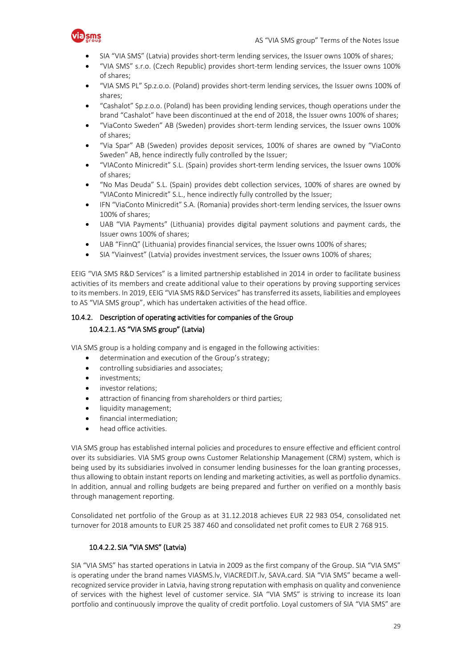

- SIA "VIA SMS" (Latvia) provides short-term lending services, the Issuer owns 100% of shares;
- "VIA SMS" s.r.o. (Czech Republic) provides short-term lending services, the Issuer owns 100% of shares;
- "VIA SMS PL" Sp.z.o.o. (Poland) provides short-term lending services, the Issuer owns 100% of shares;
- "Cashalot" Sp.z.o.o. (Poland) has been providing lending services, though operations under the brand "Cashalot" have been discontinued at the end of 2018, the Issuer owns 100% of shares;
- "ViaConto Sweden" AB (Sweden) provides short-term lending services, the Issuer owns 100% of shares;
- "Via Spar" AB (Sweden) provides deposit services, 100% of shares are owned by "ViaConto Sweden" AB, hence indirectly fully controlled by the Issuer;
- "VIAConto Minicredit" S.L. (Spain) provides short-term lending services, the Issuer owns 100% of shares;
- "No Mas Deuda" S.L. (Spain) provides debt collection services, 100% of shares are owned by "VIAConto Minicredit" S.L., hence indirectly fully controlled by the Issuer;
- IFN "ViaConto Minicredit" S.A. (Romania) provides short-term lending services, the Issuer owns 100% of shares;
- UAB "VIA Payments" (Lithuania) provides digital payment solutions and payment cards, the Issuer owns 100% of shares;
- UAB "FinnQ" (Lithuania) provides financial services, the Issuer owns 100% of shares;
- SIA "Viainvest" (Latvia) provides investment services, the Issuer owns 100% of shares;

EEIG "VIA SMS R&D Services" is a limited partnership established in 2014 in order to facilitate business activities of its members and create additional value to their operations by proving supporting services to its members. In 2019, EEIG "VIA SMS R&D Services" has transferred its assets, liabilities and employees to AS "VIA SMS group", which has undertaken activities of the head office.

### 10.4.2. Description of operating activities for companies of the Group 10.4.2.1.AS "VIA SMS group" (Latvia)

VIA SMS group is a holding company and is engaged in the following activities:

- determination and execution of the Group's strategy;
- controlling subsidiaries and associates;
- investments;
- investor relations;
- attraction of financing from shareholders or third parties;
- liquidity management;
- financial intermediation;
- head office activities.

VIA SMS group has established internal policies and procedures to ensure effective and efficient control over its subsidiaries. VIA SMS group owns Customer Relationship Management (CRM) system, which is being used by its subsidiaries involved in consumer lending businesses for the loan granting processes, thus allowing to obtain instant reports on lending and marketing activities, as well as portfolio dynamics. In addition, annual and rolling budgets are being prepared and further on verified on a monthly basis through management reporting.

Consolidated net portfolio of the Group as at 31.12.2018 achieves EUR 22 983 054, consolidated net turnover for 2018 amounts to EUR 25 387 460 and consolidated net profit comes to EUR 2 768 915.

#### 10.4.2.2. SIA "VIA SMS" (Latvia)

SIA "VIA SMS" has started operations in Latvia in 2009 as the first company of the Group. SIA "VIA SMS" is operating under the brand names VIASMS.lv, VIACREDIT.lv, SAVA.card. SIA "VIA SMS" became a wellrecognized service provider in Latvia, having strong reputation with emphasis on quality and convenience of services with the highest level of customer service. SIA "VIA SMS" is striving to increase its loan portfolio and continuously improve the quality of credit portfolio. Loyal customers of SIA "VIA SMS" are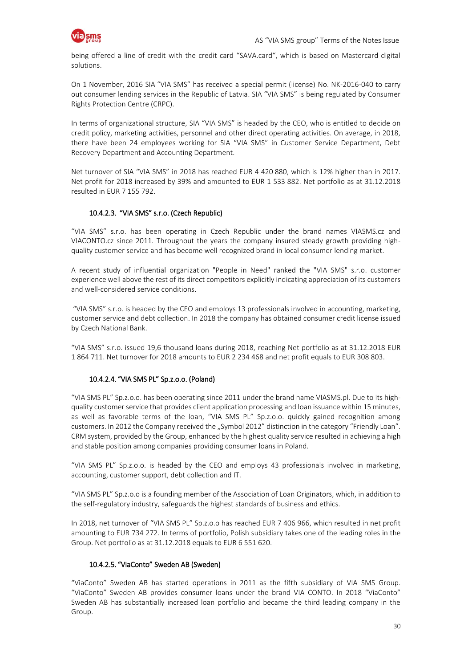

being offered a line of credit with the credit card "SAVA.card", which is based on Mastercard digital solutions.

On 1 November, 2016 SIA "VIA SMS" has received a special permit (license) No. NK-2016-040 to carry out consumer lending services in the Republic of Latvia. SIA "VIA SMS" is being regulated by Consumer Rights Protection Centre (CRPC).

In terms of organizational structure, SIA "VIA SMS" is headed by the CEO, who is entitled to decide on credit policy, marketing activities, personnel and other direct operating activities. On average, in 2018, there have been 24 employees working for SIA "VIA SMS" in Customer Service Department, Debt Recovery Department and Accounting Department.

Net turnover of SIA "VIA SMS" in 2018 has reached EUR 4 420 880, which is 12% higher than in 2017. Net profit for 2018 increased by 39% and amounted to EUR 1 533 882. Net portfolio as at 31.12.2018 resulted in EUR 7 155 792.

#### 10.4.2.3. "VIA SMS" s.r.o. (Czech Republic)

"VIA SMS" s.r.o. has been operating in Czech Republic under the brand names VIASMS.cz and VIACONTO.cz since 2011. Throughout the years the company insured steady growth providing highquality customer service and has become well recognized brand in local consumer lending market.

A recent study of influential organization "People in Need" ranked the "VIA SMS" s.r.o. customer experience well above the rest of its direct competitors explicitly indicating appreciation of its customers and well-considered service conditions.

"VIA SMS" s.r.o. is headed by the CEO and employs 13 professionals involved in accounting, marketing, customer service and debt collection. In 2018 the company has obtained consumer credit license issued by Czech National Bank.

"VIA SMS" s.r.o. issued 19,6 thousand loans during 2018, reaching Net portfolio as at 31.12.2018 EUR 1 864 711. Net turnover for 2018 amounts to EUR 2 234 468 and net profit equals to EUR 308 803.

#### 10.4.2.4. "VIA SMS PL" Sp.z.o.o. (Poland)

"VIA SMS PL" Sp.z.o.o. has been operating since 2011 under the brand name VIASMS.pl. Due to its highquality customer service that provides client application processing and loan issuance within 15 minutes, as well as favorable terms of the loan, "VIA SMS PL" Sp.z.o.o. quickly gained recognition among customers. In 2012 the Company received the "Symbol 2012" distinction in the category "Friendly Loan". CRM system, provided by the Group, enhanced by the highest quality service resulted in achieving a high and stable position among companies providing consumer loans in Poland.

"VIA SMS PL" Sp.z.o.o. is headed by the CEO and employs 43 professionals involved in marketing, accounting, customer support, debt collection and IT.

"VIA SMS PL" Sp.z.o.o is a founding member of the Association of Loan Originators, which, in addition to the self-regulatory industry, safeguards the highest standards of business and ethics.

In 2018, net turnover of "VIA SMS PL" Sp.z.o.o has reached EUR 7 406 966, which resulted in net profit amounting to EUR 734 272. In terms of portfolio, Polish subsidiary takes one of the leading roles in the Group. Net portfolio as at 31.12.2018 equals to EUR 6 551 620.

#### 10.4.2.5. "ViaConto" Sweden AB (Sweden)

"ViaConto" Sweden AB has started operations in 2011 as the fifth subsidiary of VIA SMS Group. "ViaConto" Sweden AB provides consumer loans under the brand VIA CONTO. In 2018 "ViaConto" Sweden AB has substantially increased loan portfolio and became the third leading company in the Group.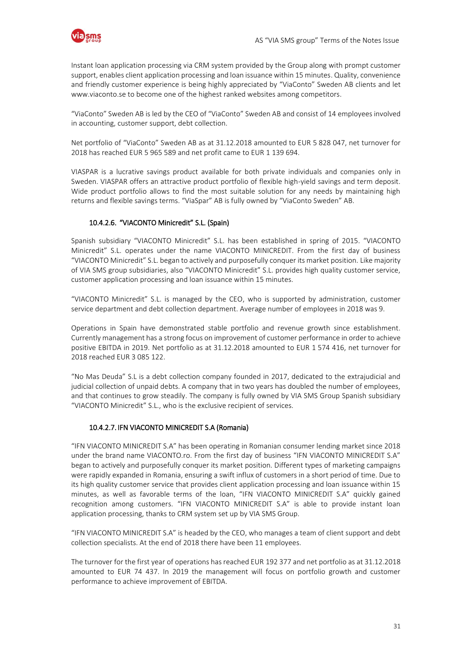

Instant loan application processing via CRM system provided by the Group along with prompt customer support, enables client application processing and loan issuance within 15 minutes. Quality, convenience and friendly customer experience is being highly appreciated by "ViaConto" Sweden AB clients and let www.viaconto.se to become one of the highest ranked websites among competitors.

"ViaConto" Sweden AB is led by the CEO of "ViaConto" Sweden AB and consist of 14 employees involved in accounting, customer support, debt collection.

Net portfolio of "ViaConto" Sweden AB as at 31.12.2018 amounted to EUR 5 828 047, net turnover for 2018 has reached EUR 5 965 589 and net profit came to EUR 1 139 694.

VIASPAR is a lucrative savings product available for both private individuals and companies only in Sweden. VIASPAR offers an attractive product portfolio of flexible high-yield savings and term deposit. Wide product portfolio allows to find the most suitable solution for any needs by maintaining high returns and flexible savings terms. "ViaSpar" AB is fully owned by "ViaConto Sweden" AB.

#### 10.4.2.6. "VIACONTO Minicredit" S.L. (Spain)

Spanish subsidiary "VIACONTO Minicredit" S.L. has been established in spring of 2015. "VIACONTO Minicredit" S.L. operates under the name VIACONTO MINICREDIT. From the first day of business "VIACONTO Minicredit" S.L. began to actively and purposefully conquer its market position. Like majority of VIA SMS group subsidiaries, also "VIACONTO Minicredit" S.L. provides high quality customer service, customer application processing and loan issuance within 15 minutes.

"VIACONTO Minicredit" S.L. is managed by the CEO, who is supported by administration, customer service department and debt collection department. Average number of employees in 2018 was 9.

Operations in Spain have demonstrated stable portfolio and revenue growth since establishment. Currently management has a strong focus on improvement of customer performance in order to achieve positive EBITDA in 2019. Net portfolio as at 31.12.2018 amounted to EUR 1 574 416, net turnover for 2018 reached EUR 3 085 122.

"No Mas Deuda" S.L is a debt collection company founded in 2017, dedicated to the extrajudicial and judicial collection of unpaid debts. A company that in two years has doubled the number of employees, and that continues to grow steadily. The company is fully owned by VIA SMS Group Spanish subsidiary "VIACONTO Minicredit" S.L., who is the exclusive recipient of services.

#### 10.4.2.7. IFN VIACONTO MINICREDIT S.A (Romania)

"IFN VIACONTO MINICREDIT S.A" has been operating in Romanian consumer lending market since 2018 under the brand name VIACONTO.ro. From the first day of business "IFN VIACONTO MINICREDIT S.A" began to actively and purposefully conquer its market position. Different types of marketing campaigns were rapidly expanded in Romania, ensuring a swift influx of customers in a short period of time. Due to its high quality customer service that provides client application processing and loan issuance within 15 minutes, as well as favorable terms of the loan, "IFN VIACONTO MINICREDIT S.A" quickly gained recognition among customers. "IFN VIACONTO MINICREDIT S.A" is able to provide instant loan application processing, thanks to CRM system set up by VIA SMS Group.

"IFN VIACONTO MINICREDIT S.A" is headed by the CEO, who manages a team of client support and debt collection specialists. At the end of 2018 there have been 11 employees.

The turnover for the first year of operations has reached EUR 192 377 and net portfolio as at 31.12.2018 amounted to EUR 74 437. In 2019 the management will focus on portfolio growth and customer performance to achieve improvement of EBITDA.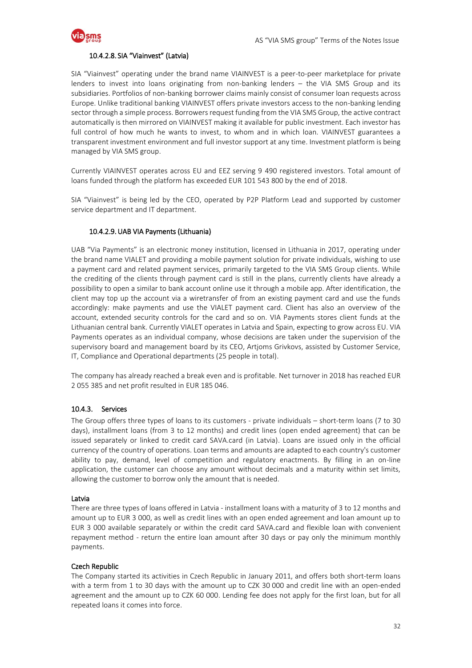

#### 10.4.2.8. SIA "Viainvest" (Latvia)

SIA "Viainvest" operating under the brand name VIAINVEST is a peer-to-peer marketplace for private lenders to invest into loans originating from non-banking lenders – the VIA SMS Group and its subsidiaries. Portfolios of non-banking borrower claims mainly consist of consumer loan requests across Europe. Unlike traditional banking VIAINVEST offers private investors access to the non-banking lending sector through a simple process. Borrowers request funding from the VIA SMS Group, the active contract automatically is then mirrored on VIAINVEST making it available for public investment. Each investor has full control of how much he wants to invest, to whom and in which loan. VIAINVEST guarantees a transparent investment environment and full investor support at any time. Investment platform is being managed by VIA SMS group.

Currently VIAINVEST operates across EU and EEZ serving 9 490 registered investors. Total amount of loans funded through the platform has exceeded EUR 101 543 800 by the end of 2018.

SIA "Viainvest" is being led by the CEO, operated by P2P Platform Lead and supported by customer service department and IT department.

#### 10.4.2.9.UAB VIA Payments (Lithuania)

UAB "Via Payments" is an electronic money institution, licensed in Lithuania in 2017, operating under the brand name VIALET and providing a mobile payment solution for private individuals, wishing to use a payment card and related payment services, primarily targeted to the VIA SMS Group clients. While the crediting of the clients through payment card is still in the plans, currently clients have already a possibility to open a similar to bank account online use it through a mobile app. After identification, the client may top up the account via a wiretransfer of from an existing payment card and use the funds accordingly: make payments and use the VIALET payment card. Client has also an overview of the account, extended security controls for the card and so on. VIA Payments stores client funds at the Lithuanian central bank. Currently VIALET operates in Latvia and Spain, expecting to grow across EU. VIA Payments operates as an individual company, whose decisions are taken under the supervision of the supervisory board and management board by its CEO, Artjoms Grivkovs, assisted by Customer Service, IT, Compliance and Operational departments (25 people in total).

The company has already reached a break even and is profitable. Net turnover in 2018 has reached EUR 2 055 385 and net profit resulted in EUR 185 046.

#### 10.4.3. Services

The Group offers three types of loans to its customers - private individuals – short-term loans (7 to 30 days), installment loans (from 3 to 12 months) and credit lines (open ended agreement) that can be issued separately or linked to credit card SAVA.card (in Latvia). Loans are issued only in the official currency of the country of operations. Loan terms and amounts are adapted to each country's customer ability to pay, demand, level of competition and regulatory enactments. By filling in an on-line application, the customer can choose any amount without decimals and a maturity within set limits, allowing the customer to borrow only the amount that is needed.

#### Latvia

There are three types of loans offered in Latvia - installment loans with a maturity of 3 to 12 months and amount up to EUR 3 000, as well as credit lines with an open ended agreement and loan amount up to EUR 3 000 available separately or within the credit card SAVA.card and flexible loan with convenient repayment method - return the entire loan amount after 30 days or pay only the minimum monthly payments.

#### Czech Republic

The Company started its activities in Czech Republic in January 2011, and offers both short-term loans with a term from 1 to 30 days with the amount up to CZK 30 000 and credit line with an open-ended agreement and the amount up to CZK 60 000. Lending fee does not apply for the first loan, but for all repeated loans it comes into force.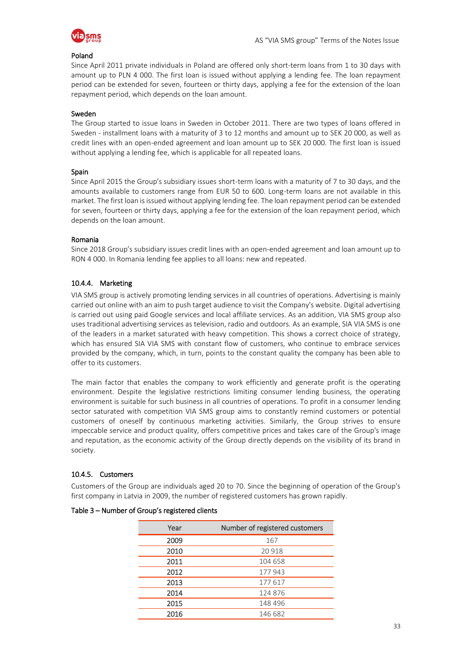

#### Poland

Since April 2011 private individuals in Poland are offered only short-term loans from 1 to 30 days with amount up to PLN 4 000. The first loan is issued without applying a lending fee. The loan repayment period can be extended for seven, fourteen or thirty days, applying a fee for the extension of the loan repayment period, which depends on the loan amount.

#### Sweden

The Group started to issue loans in Sweden in October 2011. There are two types of loans offered in Sweden - installment loans with a maturity of 3 to 12 months and amount up to SEK 20 000, as well as credit lines with an open-ended agreement and loan amount up to SEK 20 000. The first loan is issued without applying a lending fee, which is applicable for all repeated loans.

#### Spain

Since April 2015 the Group's subsidiary issues short-term loans with a maturity of 7 to 30 days, and the amounts available to customers range from EUR 50 to 600. Long-term loans are not available in this market. The first loan is issued without applying lending fee. The loan repayment period can be extended for seven, fourteen or thirty days, applying a fee for the extension of the loan repayment period, which depends on the loan amount.

#### Romania

Since 2018 Group's subsidiary issues credit lines with an open-ended agreement and loan amount up to RON 4 000. In Romania lending fee applies to all loans: new and repeated.

#### 10.4.4. Marketing

VIA SMS group is actively promoting lending services in all countries of operations. Advertising is mainly carried out online with an aim to push target audience to visit the Company's website. Digital advertising is carried out using paid Google services and local affiliate services. As an addition, VIA SMS group also uses traditional advertising services as television, radio and outdoors. As an example, SIA VIA SMS is one of the leaders in a market saturated with heavy competition. This shows a correct choice of strategy, which has ensured SIA VIA SMS with constant flow of customers, who continue to embrace services provided by the company, which, in turn, points to the constant quality the company has been able to offer to its customers.

The main factor that enables the company to work efficiently and generate profit is the operating environment. Despite the legislative restrictions limiting consumer lending business, the operating environment is suitable for such business in all countries of operations. To profit in a consumer lending sector saturated with competition VIA SMS group aims to constantly remind customers or potential customers of oneself by continuous marketing activities. Similarly, the Group strives to ensure impeccable service and product quality, offers competitive prices and takes care of the Group's image and reputation, as the economic activity of the Group directly depends on the visibility of its brand in society.

#### 10.4.5. Customers

Customers of the Group are individuals aged 20 to 70. Since the beginning of operation of the Group's first company in Latvia in 2009, the number of registered customers has grown rapidly.

| Year | Number of registered customers |
|------|--------------------------------|
| 2009 | 167                            |
| 2010 | 20 918                         |
| 2011 | 104 658                        |
| 2012 | 177943                         |
| 2013 | 177617                         |
| 2014 | 124 876                        |
| 2015 | 148 496                        |
| 2016 | 146 682                        |

#### Table 3 – Number of Group's registered clients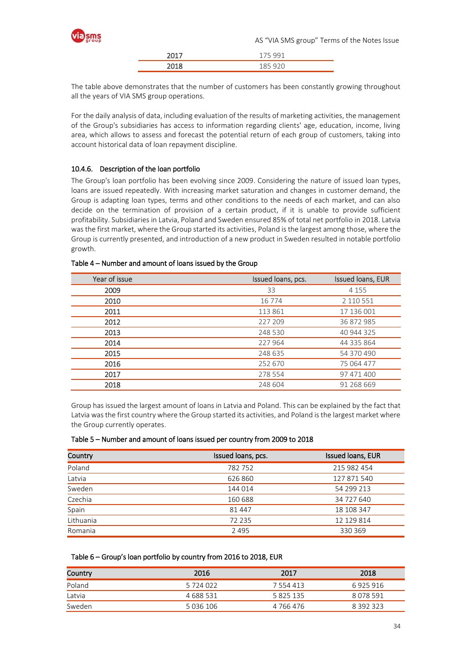

| ,,,, |  |
|------|--|
| วก10 |  |

The table above demonstrates that the number of customers has been constantly growing throughout all the years of VIA SMS group operations.

For the daily analysis of data, including evaluation of the results of marketing activities, the management of the Group's subsidiaries has access to information regarding clients' age, education, income, living area, which allows to assess and forecast the potential return of each group of customers, taking into account historical data of loan repayment discipline.

#### 10.4.6. Description of the loan portfolio

The Group's loan portfolio has been evolving since 2009. Considering the nature of issued loan types, loans are issued repeatedly. With increasing market saturation and changes in customer demand, the Group is adapting loan types, terms and other conditions to the needs of each market, and can also decide on the termination of provision of a certain product, if it is unable to provide sufficient profitability. Subsidiaries in Latvia, Poland and Sweden ensured 85% of total net portfolio in 2018. Latvia was the first market, where the Group started its activities, Poland is the largest among those, where the Group is currently presented, and introduction of a new product in Sweden resulted in notable portfolio growth.

| Year of issue | Issued Ioans, pcs. | Issued Ioans, EUR |
|---------------|--------------------|-------------------|
| 2009          | 33                 | 4 1 5 5           |
| 2010          | 16 7 7 4           | 2 110 551         |
| 2011          | 113 861            | 17 136 001        |
| 2012          | 227 209            | 36 872 985        |
| 2013          | 248 530            | 40 944 325        |
| 2014          | 227 964            | 44 335 864        |
| 2015          | 248 635            | 54 370 490        |
| 2016          | 252 670            | 75 064 477        |
| 2017          | 278 554            | 97 471 400        |
| 2018          | 248 604            | 91 268 669        |

#### Table 4 – Number and amount of loans issued by the Group

Group has issued the largest amount of loans in Latvia and Poland. This can be explained by the fact that Latvia was the first country where the Group started its activities, and Poland is the largest market where the Group currently operates.

| Table 5 – Number and amount of loans issued per country from 2009 to 2018 |  |
|---------------------------------------------------------------------------|--|
|---------------------------------------------------------------------------|--|

| Country   | Issued loans, pcs. | Issued Ioans, EUR |
|-----------|--------------------|-------------------|
| Poland    | 782752             | 215 982 454       |
| Latvia    | 626 860            | 127 871 540       |
| Sweden    | 144 014            | 54 299 213        |
| Czechia   | 160 688            | 34 727 640        |
| Spain     | 81 447             | 18 108 347        |
| Lithuania | 72 235             | 12 129 814        |
| Romania   | 2 4 9 5            | 330 369           |

#### Table 6 – Group's loan portfolio by country from 2016 to 2018, EUR

| Country | 2016      | 2017      | 2018      |
|---------|-----------|-----------|-----------|
| Poland  | 5 724 022 | 7 554 413 | 6 925 916 |
| Latvia  | 4 688 531 | 5825135   | 8 078 591 |
| Sweden  | 5 036 106 | 4 766 476 | 8 392 323 |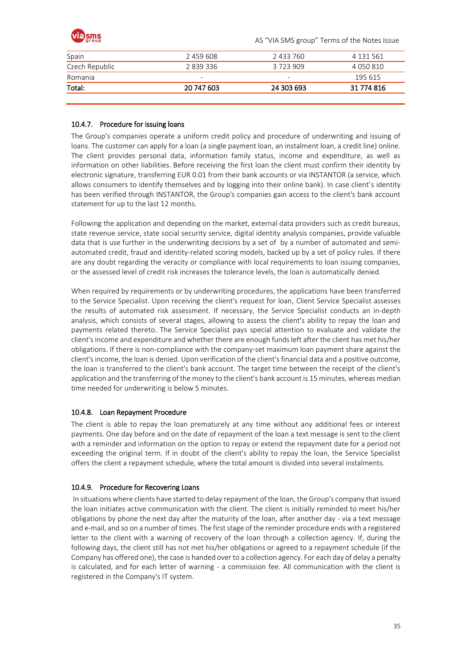| <b>Via sms</b> |           | AS "VIA SMS group" Terms of the Notes Issue |           |  |
|----------------|-----------|---------------------------------------------|-----------|--|
| Spain          | 2 459 608 | 2 433 760                                   | 4 131 561 |  |
| Czech Republic | 2839336   | 3723909                                     | 4 050 810 |  |
| Romania        |           | -                                           | 195 615   |  |

#### 10.4.7. Procedure for issuing loans

The Group's companies operate a uniform credit policy and procedure of underwriting and issuing of loans. The customer can apply for a loan (a single payment loan, an instalment loan, a credit line) online. The client provides personal data, information family status, income and expenditure, as well as information on other liabilities. Before receiving the first loan the client must confirm their identity by electronic signature, transferring EUR 0.01 from their bank accounts or via INSTANTOR (a service, which allows consumers to identify themselves and by logging into their online bank). In case client's identity has been verified through INSTANTOR, the Group's companies gain access to the client's bank account statement for up to the last 12 months.

Total: 20 747 603 24 303 693 31 774 816

Following the application and depending on the market, external data providers such as credit bureaus, state revenue service, state social security service, digital identity analysis companies, provide valuable data that is use further in the underwriting decisions by a set of by a number of automated and semiautomated credit, fraud and identity-related scoring models, backed up by a set of policy rules. If there are any doubt regarding the veracity or compliance with local requirements to loan issuing companies, or the assessed level of credit risk increases the tolerance levels, the loan is automatically denied.

When required by requirements or by underwriting procedures, the applications have been transferred to the Service Specialist. Upon receiving the client's request for loan, Client Service Specialist assesses the results of automated risk assessment. If necessary, the Service Specialist conducts an in-depth analysis, which consists of several stages, allowing to assess the client's ability to repay the loan and payments related thereto. The Service Specialist pays special attention to evaluate and validate the client's income and expenditure and whether there are enough funds left after the client has met his/her obligations. If there is non-compliance with the company-set maximum loan payment share against the client's income, the loan is denied. Upon verification of the client's financial data and a positive outcome, the loan is transferred to the client's bank account. The target time between the receipt of the client's application and the transferring of the money to the client's bank account is 15 minutes, whereas median time needed for underwriting is below 5 minutes.

#### 10.4.8. Loan Repayment Procedure

The client is able to repay the loan prematurely at any time without any additional fees or interest payments. One day before and on the date of repayment of the loan a text message is sent to the client with a reminder and information on the option to repay or extend the repayment date for a period not exceeding the original term. If in doubt of the client's ability to repay the loan, the Service Specialist offers the client a repayment schedule, where the total amount is divided into several instalments.

#### 10.4.9. Procedure for Recovering Loans

In situations where clients have started to delay repayment of the loan, the Group's company that issued the loan initiates active communication with the client. The client is initially reminded to meet his/her obligations by phone the next day after the maturity of the loan, after another day - via a text message and e-mail, and so on a number of times. The first stage of the reminder procedure ends with a registered letter to the client with a warning of recovery of the loan through a collection agency. If, during the following days, the client still has not met his/her obligations or agreed to a repayment schedule (if the Company has offered one), the case is handed over to a collection agency. For each day of delay a penalty is calculated, and for each letter of warning - a commission fee. All communication with the client is registered in the Company's IT system.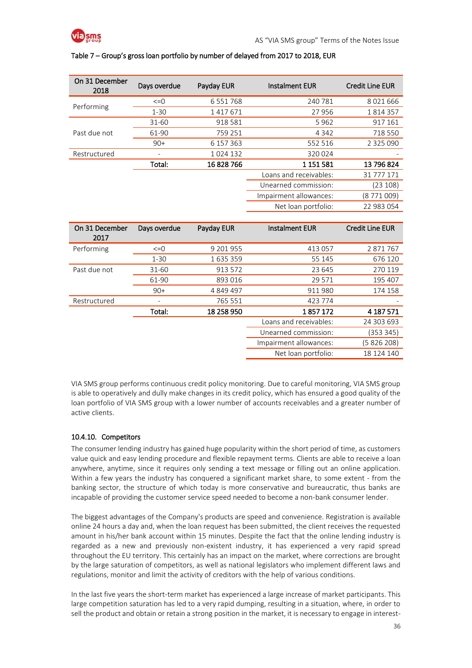

#### Table 7 – Group's gross loan portfolio by number of delayed from 2017 to 2018, EUR

| Days overdue | Payday EUR    | <b>Instalment EUR</b>  | <b>Credit Line EUR</b> |
|--------------|---------------|------------------------|------------------------|
| $\leq=0$     | 6 5 5 1 7 6 8 | 240 781                | 8021666                |
| $1 - 30$     | 1417671       | 27956                  | 1814357                |
| $31 - 60$    | 918 581       | 5962                   | 917 161                |
| 61-90        | 759 251       | 4 3 4 2                | 718 550                |
| $90+$        | 6 157 363     | 552 516                | 2 3 2 5 0 9 0          |
|              | 1024 132      | 320 024                |                        |
| Total:       | 16828766      | 1 151 581              | 13 796 824             |
|              |               | Loans and receivables: | 31 777 171             |
|              |               | Unearned commission:   | (23 108)               |
|              |               | Impairment allowances: | (8 771 009)            |
|              |               | Net loan portfolio:    | 22 983 054             |
|              |               |                        |                        |

| Days overdue | Payday EUR | <b>Instalment EUR</b>  | <b>Credit Line EUR</b> |
|--------------|------------|------------------------|------------------------|
| $\leq$ =0    | 9 201 955  | 413 057                | 2871767                |
| $1 - 30$     | 1635359    | 55 145                 | 676 120                |
| $31 - 60$    | 913 572    | 23 645                 | 270 119                |
| 61-90        | 893 016    | 29 571                 | 195 407                |
| $90+$        | 4 849 497  | 911980                 | 174 158                |
|              | 765 551    | 423 774                |                        |
| Total:       | 18 258 950 | 1857172                | 4 187 571              |
|              |            | Loans and receivables: | 24 303 693             |
|              |            | Unearned commission:   | (353 345)              |
|              |            | Impairment allowances: | (5 826 208)            |
|              |            | Net loan portfolio:    | 18 124 140             |
|              |            |                        |                        |

VIA SMS group performs continuous credit policy monitoring. Due to careful monitoring, VIA SMS group is able to operatively and dully make changes in its credit policy, which has ensured a good quality of the loan portfolio of VIA SMS group with a lower number of accounts receivables and a greater number of active clients.

#### 10.4.10. Competitors

The consumer lending industry has gained huge popularity within the short period of time, as customers value quick and easy lending procedure and flexible repayment terms. Clients are able to receive a loan anywhere, anytime, since it requires only sending a text message or filling out an online application. Within a few years the industry has conquered a significant market share, to some extent - from the banking sector, the structure of which today is more conservative and bureaucratic, thus banks are incapable of providing the customer service speed needed to become a non-bank consumer lender.

The biggest advantages of the Company's products are speed and convenience. Registration is available online 24 hours a day and, when the loan request has been submitted, the client receives the requested amount in his/her bank account within 15 minutes. Despite the fact that the online lending industry is regarded as a new and previously non-existent industry, it has experienced a very rapid spread throughout the EU territory. This certainly has an impact on the market, where corrections are brought by the large saturation of competitors, as well as national legislators who implement different laws and regulations, monitor and limit the activity of creditors with the help of various conditions.

In the last five years the short-term market has experienced a large increase of market participants. This large competition saturation has led to a very rapid dumping, resulting in a situation, where, in order to sell the product and obtain or retain a strong position in the market, it is necessary to engage in interest-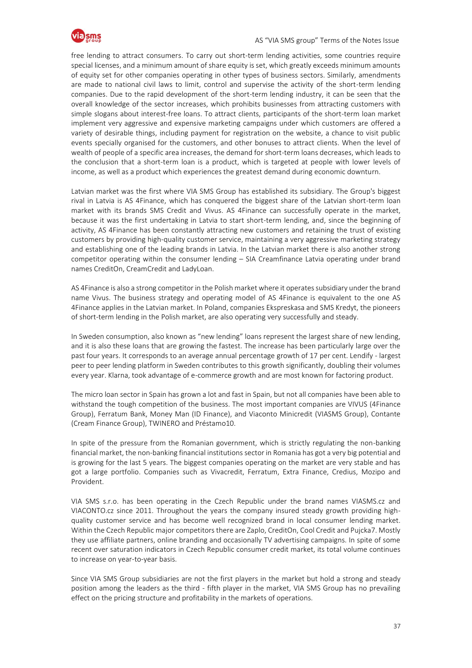

free lending to attract consumers. To carry out short-term lending activities, some countries require special licenses, and a minimum amount of share equity is set, which greatly exceeds minimum amounts of equity set for other companies operating in other types of business sectors. Similarly, amendments are made to national civil laws to limit, control and supervise the activity of the short-term lending companies. Due to the rapid development of the short-term lending industry, it can be seen that the overall knowledge of the sector increases, which prohibits businesses from attracting customers with simple slogans about interest-free loans. To attract clients, participants of the short-term loan market implement very aggressive and expensive marketing campaigns under which customers are offered a variety of desirable things, including payment for registration on the website, a chance to visit public events specially organised for the customers, and other bonuses to attract clients. When the level of wealth of people of a specific area increases, the demand for short-term loans decreases, which leads to the conclusion that a short-term loan is a product, which is targeted at people with lower levels of income, as well as a product which experiences the greatest demand during economic downturn.

Latvian market was the first where VIA SMS Group has established its subsidiary. The Group's biggest rival in Latvia is AS 4Finance, which has conquered the biggest share of the Latvian short-term loan market with its brands SMS Credit and Vivus. AS 4Finance can successfully operate in the market, because it was the first undertaking in Latvia to start short-term lending, and, since the beginning of activity, AS 4Finance has been constantly attracting new customers and retaining the trust of existing customers by providing high-quality customer service, maintaining a very aggressive marketing strategy and establishing one of the leading brands in Latvia. In the Latvian market there is also another strong competitor operating within the consumer lending – SIA Creamfinance Latvia operating under brand names CreditOn, CreamCredit and LadyLoan.

AS 4Finance is also a strong competitor in the Polish market where it operates subsidiary under the brand name Vivus. The business strategy and operating model of AS 4Finance is equivalent to the one AS 4Finance applies in the Latvian market. In Poland, companies Ekspreskasa and SMS Kredyt, the pioneers of short-term lending in the Polish market, are also operating very successfully and steady.

In Sweden consumption, also known as "new lending" loans represent the largest share of new lending, and it is also these loans that are growing the fastest. The increase has been particularly large over the past four years. It corresponds to an average annual percentage growth of 17 per cent. Lendify - largest peer to peer lending platform in Sweden contributes to this growth significantly, doubling their volumes every year. Klarna, took advantage of e-commerce growth and are most known for factoring product.

The micro loan sector in Spain has grown a lot and fast in Spain, but not all companies have been able to withstand the tough competition of the business. The most important companies are VIVUS (4Finance Group), Ferratum Bank, Money Man (ID Finance), and Viaconto Minicredit (VIASMS Group), Contante (Cream Finance Group), TWINERO and Préstamo10.

In spite of the pressure from the Romanian government, which is strictly regulating the non-banking financial market, the non-banking financial institutions sector in Romania has got a very big potential and is growing for the last 5 years. The biggest companies operating on the market are very stable and has got a large portfolio. Companies such as Vivacredit, Ferratum, Extra Finance, Credius, Mozipo and Provident.

VIA SMS s.r.o. has been operating in the Czech Republic under the brand names VIASMS.cz and VIACONTO.cz since 2011. Throughout the years the company insured steady growth providing highquality customer service and has become well recognized brand in local consumer lending market. Within the Czech Republic major competitors there are Zaplo, CreditOn, Cool Credit and Pujcka7. Mostly they use affiliate partners, online branding and occasionally TV advertising campaigns. In spite of some recent over saturation indicators in Czech Republic consumer credit market, its total volume continues to increase on year-to-year basis.

Since VIA SMS Group subsidiaries are not the first players in the market but hold a strong and steady position among the leaders as the third - fifth player in the market, VIA SMS Group has no prevailing effect on the pricing structure and profitability in the markets of operations.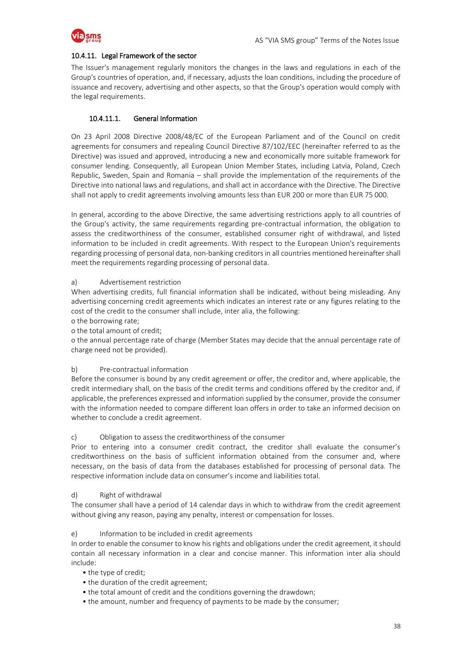

#### 10.4.11. Legal Framework of the sector

The Issuer's management regularly monitors the changes in the laws and regulations in each of the Group's countries of operation, and, if necessary, adjusts the loan conditions, including the procedure of issuance and recovery, advertising and other aspects, so that the Group's operation would comply with the legal requirements.

#### 10.4.11.1. General Information

On 23 April 2008 Directive 2008/48/EC of the European Parliament and of the Council on credit agreements for consumers and repealing Council Directive 87/102/EEC (hereinafter referred to as the Directive) was issued and approved, introducing a new and economically more suitable framework for consumer lending. Consequently, all European Union Member States, including Latvia, Poland, Czech Republic, Sweden, Spain and Romania – shall provide the implementation of the requirements of the Directive into national laws and regulations, and shall act in accordance with the Directive. The Directive shall not apply to credit agreements involving amounts less than EUR 200 or more than EUR 75 000.

In general, according to the above Directive, the same advertising restrictions apply to all countries of the Group's activity, the same requirements regarding pre-contractual information, the obligation to assess the creditworthiness of the consumer, established consumer right of withdrawal, and listed information to be included in credit agreements. With respect to the European Union's requirements regarding processing of personal data, non-banking creditors in all countries mentioned hereinafter shall meet the requirements regarding processing of personal data.

#### a) Advertisement restriction

When advertising credits, full financial information shall be indicated, without being misleading. Any advertising concerning credit agreements which indicates an interest rate or any figures relating to the cost of the credit to the consumer shall include, inter alia, the following:

- o the borrowing rate;
- o the total amount of credit;

o the annual percentage rate of charge (Member States may decide that the annual percentage rate of charge need not be provided).

#### b) Pre-contractual information

Before the consumer is bound by any credit agreement or offer, the creditor and, where applicable, the credit intermediary shall, on the basis of the credit terms and conditions offered by the creditor and, if applicable, the preferences expressed and information supplied by the consumer, provide the consumer with the information needed to compare different loan offers in order to take an informed decision on whether to conclude a credit agreement.

#### c) Obligation to assess the creditworthiness of the consumer

Prior to entering into a consumer credit contract, the creditor shall evaluate the consumer's creditworthiness on the basis of sufficient information obtained from the consumer and, where necessary, on the basis of data from the databases established for processing of personal data. The respective information include data on consumer's income and liabilities total.

#### d) Right of withdrawal

The consumer shall have a period of 14 calendar days in which to withdraw from the credit agreement without giving any reason, paying any penalty, interest or compensation for losses.

#### e) Information to be included in credit agreements

In order to enable the consumer to know his rights and obligations under the credit agreement, it should contain all necessary information in a clear and concise manner. This information inter alia should include:

- the type of credit;
- the duration of the credit agreement;
- the total amount of credit and the conditions governing the drawdown;
- the amount, number and frequency of payments to be made by the consumer;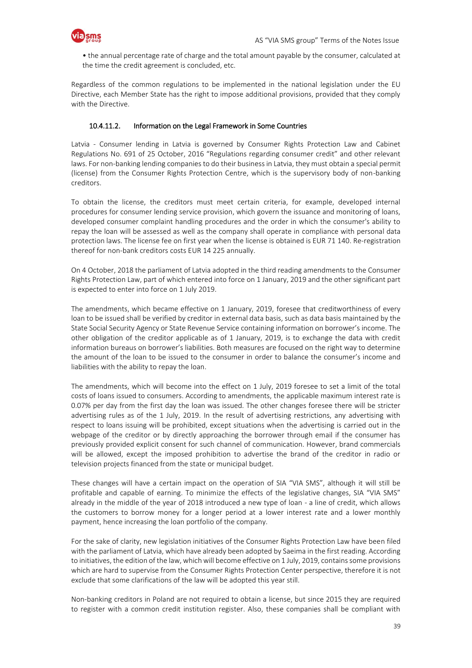

• the annual percentage rate of charge and the total amount payable by the consumer, calculated at the time the credit agreement is concluded, etc.

Regardless of the common regulations to be implemented in the national legislation under the EU Directive, each Member State has the right to impose additional provisions, provided that they comply with the Directive.

#### 10.4.11.2. Information on the Legal Framework in Some Countries

Latvia - Consumer lending in Latvia is governed by Consumer Rights Protection Law and Cabinet Regulations No. 691 of 25 October, 2016 "Regulations regarding consumer credit" and other relevant laws. For non-banking lending companies to do their business in Latvia, they must obtain a special permit (license) from the Consumer Rights Protection Centre, which is the supervisory body of non-banking creditors.

To obtain the license, the creditors must meet certain criteria, for example, developed internal procedures for consumer lending service provision, which govern the issuance and monitoring of loans, developed consumer complaint handling procedures and the order in which the consumer's ability to repay the loan will be assessed as well as the company shall operate in compliance with personal data protection laws. The license fee on first year when the license is obtained is EUR 71 140. Re-registration thereof for non-bank creditors costs EUR 14 225 annually.

On 4 October, 2018 the parliament of Latvia adopted in the third reading amendments to the Consumer Rights Protection Law, part of which entered into force on 1 January, 2019 and the other significant part is expected to enter into force on 1 July 2019.

The amendments, which became effective on 1 January, 2019, foresee that creditworthiness of every loan to be issued shall be verified by creditor in external data basis, such as data basis maintained by the State Social Security Agency or State Revenue Service containing information on borrower's income. The other obligation of the creditor applicable as of 1 January, 2019, is to exchange the data with credit information bureaus on borrower's liabilities. Both measures are focused on the right way to determine the amount of the loan to be issued to the consumer in order to balance the consumer's income and liabilities with the ability to repay the loan.

The amendments, which will become into the effect on 1 July, 2019 foresee to set a limit of the total costs of loans issued to consumers. According to amendments, the applicable maximum interest rate is 0.07% per day from the first day the loan was issued. The other changes foresee there will be stricter advertising rules as of the 1 July, 2019. In the result of advertising restrictions, any advertising with respect to loans issuing will be prohibited, except situations when the advertising is carried out in the webpage of the creditor or by directly approaching the borrower through email if the consumer has previously provided explicit consent for such channel of communication. However, brand commercials will be allowed, except the imposed prohibition to advertise the brand of the creditor in radio or television projects financed from the state or municipal budget.

These changes will have a certain impact on the operation of SIA "VIA SMS", although it will still be profitable and capable of earning. To minimize the effects of the legislative changes, SIA "VIA SMS" already in the middle of the year of 2018 introduced a new type of loan - a line of credit, which allows the customers to borrow money for a longer period at a lower interest rate and a lower monthly payment, hence increasing the loan portfolio of the company.

For the sake of clarity, new legislation initiatives of the Consumer Rights Protection Law have been filed with the parliament of Latvia, which have already been adopted by Saeima in the first reading. According to initiatives, the edition of the law, which will become effective on 1 July, 2019, contains some provisions which are hard to supervise from the Consumer Rights Protection Center perspective, therefore it is not exclude that some clarifications of the law will be adopted this year still.

Non-banking creditors in Poland are not required to obtain a license, but since 2015 they are required to register with a common credit institution register. Also, these companies shall be compliant with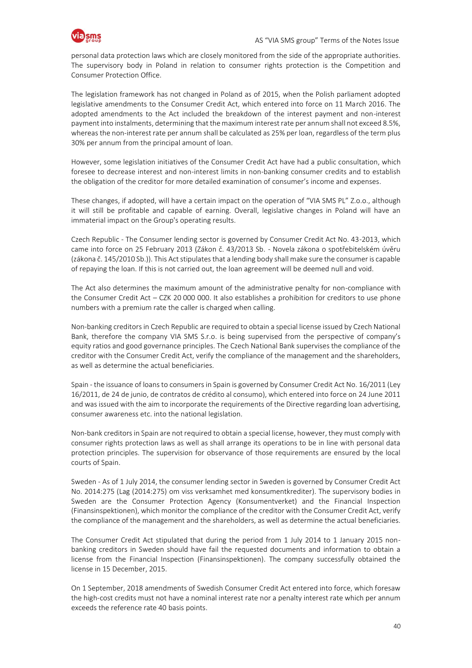

personal data protection laws which are closely monitored from the side of the appropriate authorities. The supervisory body in Poland in relation to consumer rights protection is the Competition and Consumer Protection Office.

The legislation framework has not changed in Poland as of 2015, when the Polish parliament adopted legislative amendments to the Consumer Credit Act, which entered into force on 11 March 2016. The adopted amendments to the Act included the breakdown of the interest payment and non-interest payment into instalments, determining that the maximum interest rate per annum shall not exceed 8.5%, whereas the non-interest rate per annum shall be calculated as 25% per loan, regardless of the term plus 30% per annum from the principal amount of loan.

However, some legislation initiatives of the Consumer Credit Act have had a public consultation, which foresee to decrease interest and non-interest limits in non-banking consumer credits and to establish the obligation of the creditor for more detailed examination of consumer's income and expenses.

These changes, if adopted, will have a certain impact on the operation of "VIA SMS PL" Z.o.o., although it will still be profitable and capable of earning. Overall, legislative changes in Poland will have an immaterial impact on the Group's operating results.

Czech Republic - The Consumer lending sector is governed by Consumer Credit Act No. 43-2013, which came into force on 25 February 2013 (Zákon č. 43/2013 Sb. - Novela zákona o spotřebitelském úvěru (zákona č. 145/2010 Sb.)). This Act stipulates that a lending body shall make sure the consumer is capable of repaying the loan. If this is not carried out, the loan agreement will be deemed null and void.

The Act also determines the maximum amount of the administrative penalty for non-compliance with the Consumer Credit Act – CZK 20 000 000. It also establishes a prohibition for creditors to use phone numbers with a premium rate the caller is charged when calling.

Non-banking creditors in Czech Republic are required to obtain a special license issued by Czech National Bank, therefore the company VIA SMS S.r.o. is being supervised from the perspective of company's equity ratios and good governance principles. The Czech National Bank supervises the compliance of the creditor with the Consumer Credit Act, verify the compliance of the management and the shareholders, as well as determine the actual beneficiaries.

Spain - the issuance of loans to consumers in Spain is governed by Consumer Credit Act No. 16/2011 (Ley 16/2011, de 24 de junio, de contratos de crédito al consumo), which entered into force on 24 June 2011 and was issued with the aim to incorporate the requirements of the Directive regarding loan advertising, consumer awareness etc. into the national legislation.

Non-bank creditors in Spain are not required to obtain a special license, however, they must comply with consumer rights protection laws as well as shall arrange its operations to be in line with personal data protection principles. The supervision for observance of those requirements are ensured by the local courts of Spain.

Sweden - As of 1 July 2014, the consumer lending sector in Sweden is governed by Consumer Credit Act No. 2014:275 (Lag (2014:275) om viss verksamhet med konsumentkrediter). The supervisory bodies in Sweden are the Consumer Protection Agency (Konsumentverket) and the Financial Inspection (Finansinspektionen), which monitor the compliance of the creditor with the Consumer Credit Act, verify the compliance of the management and the shareholders, as well as determine the actual beneficiaries.

The Consumer Credit Act stipulated that during the period from 1 July 2014 to 1 January 2015 nonbanking creditors in Sweden should have fail the requested documents and information to obtain a license from the Financial Inspection (Finansinspektionen). The company successfully obtained the license in 15 December, 2015.

On 1 September, 2018 amendments of Swedish Consumer Credit Act entered into force, which foresaw the high-cost credits must not have a nominal interest rate nor a penalty interest rate which per annum exceeds the reference rate 40 basis points.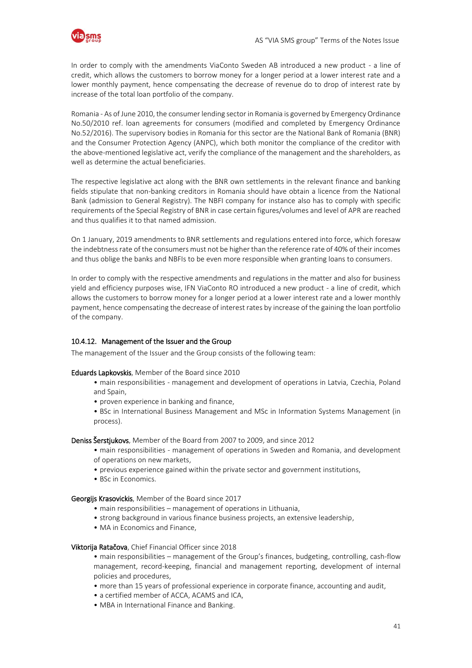

In order to comply with the amendments ViaConto Sweden AB introduced a new product - a line of credit, which allows the customers to borrow money for a longer period at a lower interest rate and a lower monthly payment, hence compensating the decrease of revenue do to drop of interest rate by increase of the total loan portfolio of the company.

Romania - As of June 2010, the consumer lending sector in Romania is governed by Emergency Ordinance No.50/2010 ref. loan agreements for consumers (modified and completed by Emergency Ordinance No.52/2016). The supervisory bodies in Romania for this sector are the National Bank of Romania (BNR) and the Consumer Protection Agency (ANPC), which both monitor the compliance of the creditor with the above-mentioned legislative act, verify the compliance of the management and the shareholders, as well as determine the actual beneficiaries.

The respective legislative act along with the BNR own settlements in the relevant finance and banking fields stipulate that non-banking creditors in Romania should have obtain a licence from the National Bank (admission to General Registry). The NBFI company for instance also has to comply with specific requirements of the Special Registry of BNR in case certain figures/volumes and level of APR are reached and thus qualifies it to that named admission.

On 1 January, 2019 amendments to BNR settlements and regulations entered into force, which foresaw the indebtness rate of the consumers must not be higher than the reference rate of 40% of their incomes and thus oblige the banks and NBFIs to be even more responsible when granting loans to consumers.

In order to comply with the respective amendments and regulations in the matter and also for business yield and efficiency purposes wise, IFN ViaConto RO introduced a new product - a line of credit, which allows the customers to borrow money for a longer period at a lower interest rate and a lower monthly payment, hence compensating the decrease of interest rates by increase of the gaining the loan portfolio of the company.

#### 10.4.12. Management of the Issuer and the Group

The management of the Issuer and the Group consists of the following team:

#### Eduards Lapkovskis, Member of the Board since 2010

- main responsibilities management and development of operations in Latvia, Czechia, Poland and Spain,
- proven experience in banking and finance,
- BSc in International Business Management and MSc in Information Systems Management (in process).

Deniss Šerstjukovs, Member of the Board from 2007 to 2009, and since 2012

- main responsibilities management of operations in Sweden and Romania, and development of operations on new markets,
- previous experience gained within the private sector and government institutions,
- BSc in Economics.

Georgijs Krasovickis, Member of the Board since 2017

- main responsibilities management of operations in Lithuania,
- strong background in various finance business projects, an extensive leadership,
- MA in Economics and Finance.

#### Viktorija Ratačova, Chief Financial Officer since 2018

• main responsibilities – management of the Group's finances, budgeting, controlling, cash-flow management, record-keeping, financial and management reporting, development of internal policies and procedures,

- more than 15 years of professional experience in corporate finance, accounting and audit,
- a certified member of ACCA, ACAMS and ICA,
- MBA in International Finance and Banking.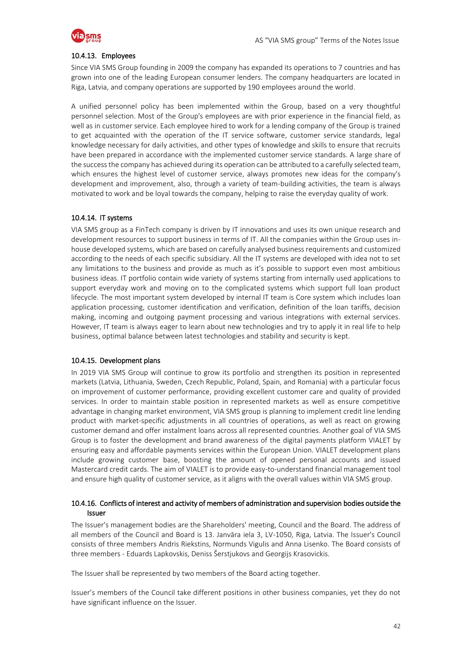

#### 10.4.13. Employees

Since VIA SMS Group founding in 2009 the company has expanded its operations to 7 countries and has grown into one of the leading European consumer lenders. The company headquarters are located in Riga, Latvia, and company operations are supported by 190 employees around the world.

A unified personnel policy has been implemented within the Group, based on a very thoughtful personnel selection. Most of the Group's employees are with prior experience in the financial field, as well as in customer service. Each employee hired to work for a lending company of the Group is trained to get acquainted with the operation of the IT service software, customer service standards, legal knowledge necessary for daily activities, and other types of knowledge and skills to ensure that recruits have been prepared in accordance with the implemented customer service standards. A large share of the success the company has achieved during its operation can be attributed to a carefully selected team, which ensures the highest level of customer service, always promotes new ideas for the company's development and improvement, also, through a variety of team-building activities, the team is always motivated to work and be loyal towards the company, helping to raise the everyday quality of work.

#### 10.4.14. IT systems

VIA SMS group as a FinTech company is driven by IT innovations and uses its own unique research and development resources to support business in terms of IT. All the companies within the Group uses inhouse developed systems, which are based on carefully analysed business requirements and customized according to the needs of each specific subsidiary. All the IT systems are developed with idea not to set any limitations to the business and provide as much as it's possible to support even most ambitious business ideas. IT portfolio contain wide variety of systems starting from internally used applications to support everyday work and moving on to the complicated systems which support full loan product lifecycle. The most important system developed by internal IT team is Core system which includes loan application processing, customer identification and verification, definition of the loan tariffs, decision making, incoming and outgoing payment processing and various integrations with external services. However, IT team is always eager to learn about new technologies and try to apply it in real life to help business, optimal balance between latest technologies and stability and security is kept.

#### 10.4.15. Development plans

In 2019 VIA SMS Group will continue to grow its portfolio and strengthen its position in represented markets (Latvia, Lithuania, Sweden, Czech Republic, Poland, Spain, and Romania) with a particular focus on improvement of customer performance, providing excellent customer care and quality of provided services. In order to maintain stable position in represented markets as well as ensure competitive advantage in changing market environment, VIA SMS group is planning to implement credit line lending product with market-specific adjustments in all countries of operations, as well as react on growing customer demand and offer instalment loans across all represented countries. Another goal of VIA SMS Group is to foster the development and brand awareness of the digital payments platform VIALET by ensuring easy and affordable payments services within the European Union. VIALET development plans include growing customer base, boosting the amount of opened personal accounts and issued Mastercard credit cards. The aim of VIALET is to provide easy-to-understand financial management tool and ensure high quality of customer service, as it aligns with the overall values within VIA SMS group.

#### 10.4.16. Conflicts of interest and activity of members of administration and supervision bodies outside the Issuer

The Issuer's management bodies are the Shareholders' meeting, Council and the Board. The address of all members of the Council and Board is 13. Janvāra iela 3, LV-1050, Riga, Latvia. The Issuer's Council consists of three members Andris Riekstins, Normunds Vigulis and Anna Lisenko. The Board consists of three members - Eduards Lapkovskis, Deniss Šerstjukovs and Georgijs Krasovickis.

The Issuer shall be represented by two members of the Board acting together.

Issuer's members of the Council take different positions in other business companies, yet they do not have significant influence on the Issuer.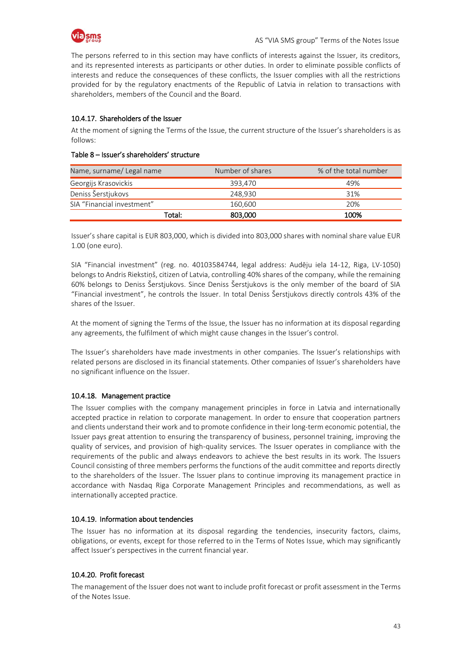

The persons referred to in this section may have conflicts of interests against the Issuer, its creditors, and its represented interests as participants or other duties. In order to eliminate possible conflicts of interests and reduce the consequences of these conflicts, the Issuer complies with all the restrictions provided for by the regulatory enactments of the Republic of Latvia in relation to transactions with shareholders, members of the Council and the Board.

#### 10.4.17. Shareholders of the Issuer

At the moment of signing the Terms of the Issue, the current structure of the Issuer's shareholders is as follows:

#### Table 8 – Issuer's shareholders' structure

| Name, surname/ Legal name  | Number of shares | % of the total number |
|----------------------------|------------------|-----------------------|
| Georgijs Krasovickis       | 393.470          | 49%                   |
| Deniss Šerstjukovs         | 248.930          | 31%                   |
| SIA "Financial investment" | 160.600          | 20%                   |
| Total:                     | 803,000          | 100%                  |

Issuer's share capital is EUR 803,000, which is divided into 803,000 shares with nominal share value EUR 1.00 (one euro).

SIA "Financial investment" (reg. no. 40103584744, legal address: Audēju iela 14-12, Riga, LV-1050) belongs to Andris Riekstiņš, citizen of Latvia, controlling 40% shares of the company, while the remaining 60% belongs to Deniss Šerstjukovs. Since Deniss Šerstjukovs is the only member of the board of SIA "Financial investment", he controls the Issuer. In total Deniss Šerstjukovs directly controls 43% of the shares of the Issuer.

At the moment of signing the Terms of the Issue, the Issuer has no information at its disposal regarding any agreements, the fulfilment of which might cause changes in the Issuer's control.

The Issuer's shareholders have made investments in other companies. The Issuer's relationships with related persons are disclosed in its financial statements. Other companies of Issuer's shareholders have no significant influence on the Issuer.

#### 10.4.18. Management practice

The Issuer complies with the company management principles in force in Latvia and internationally accepted practice in relation to corporate management. In order to ensure that cooperation partners and clients understand their work and to promote confidence in their long-term economic potential, the Issuer pays great attention to ensuring the transparency of business, personnel training, improving the quality of services, and provision of high-quality services. The Issuer operates in compliance with the requirements of the public and always endeavors to achieve the best results in its work. The Issuers Council consisting of three members performs the functions of the audit committee and reports directly to the shareholders of the Issuer. The Issuer plans to continue improving its management practice in accordance with Nasdaq Riga Corporate Management Principles and recommendations, as well as internationally accepted practice.

#### 10.4.19. Information about tendencies

The Issuer has no information at its disposal regarding the tendencies, insecurity factors, claims, obligations, or events, except for those referred to in the Terms of Notes Issue, which may significantly affect Issuer's perspectives in the current financial year.

#### 10.4.20. Profit forecast

The management of the Issuer does not want to include profit forecast or profit assessment in the Terms of the Notes Issue.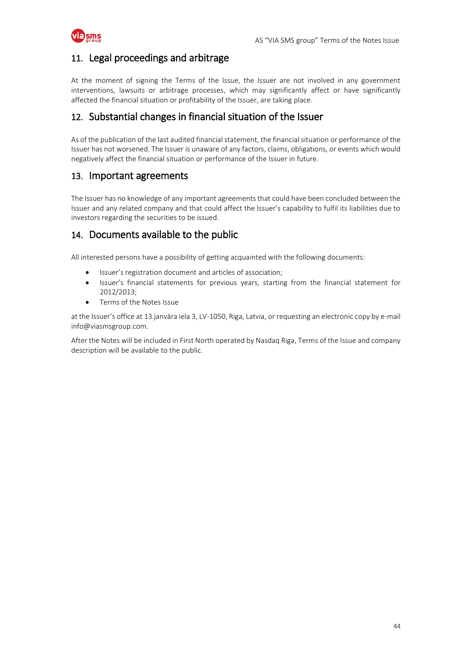

### <span id="page-43-0"></span>11. Legal proceedings and arbitrage

At the moment of signing the Terms of the Issue, the Issuer are not involved in any government interventions, lawsuits or arbitrage processes, which may significantly affect or have significantly affected the financial situation or profitability of the Issuer, are taking place.

### <span id="page-43-1"></span>12. Substantial changes in financial situation of the Issuer

As of the publication of the last audited financial statement, the financial situation or performance of the Issuer has not worsened. The Issuer is unaware of any factors, claims, obligations, or events which would negatively affect the financial situation or performance of the Issuer in future.

### <span id="page-43-2"></span>13. Important agreements

The Issuer has no knowledge of any important agreements that could have been concluded between the Issuer and any related company and that could affect the Issuer's capability to fulfil its liabilities due to investors regarding the securities to be issued.

### <span id="page-43-3"></span>14. Documents available to the public

All interested persons have a possibility of getting acquainted with the following documents:

- Issuer's registration document and articles of association;
- Issuer's financial statements for previous years, starting from the financial statement for 2012/2013;
- Terms of the Notes Issue

at the Issuer's office at 13.janvāra iela 3, LV-1050, Riga, Latvia, or requesting an electronic copy by e-mail info@viasmsgroup.com.

After the Notes will be included in First North operated by Nasdaq Riga, Terms of the Issue and company description will be available to the public.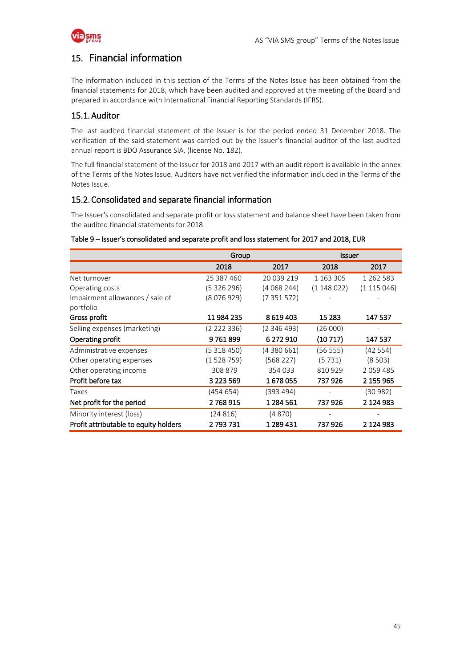

### <span id="page-44-0"></span>15. Financial information

The information included in this section of the Terms of the Notes Issue has been obtained from the financial statements for 2018, which have been audited and approved at the meeting of the Board and prepared in accordance with International Financial Reporting Standards (IFRS).

### 15.1.Auditor

The last audited financial statement of the Issuer is for the period ended 31 December 2018. The verification of the said statement was carried out by the Issuer's financial auditor of the last audited annual report is BDO Assurance SIA, (license No. 182).

The full financial statement of the Issuer for 2018 and 2017 with an audit report is available in the annex of the Terms of the Notes Issue. Auditors have not verified the information included in the Terms of the Notes Issue.

### 15.2.Consolidated and separate financial information

The Issuer's consolidated and separate profit or loss statement and balance sheet have been taken from the audited financial statements for 2018.

#### Table 9 – Issuer's consolidated and separate profit and loss statement for 2017 and 2018, EUR

|                                       | Group       |             | <b>Issuer</b> |               |
|---------------------------------------|-------------|-------------|---------------|---------------|
|                                       | 2018        | 2017        | 2018          | 2017          |
| Net turnover                          | 25 387 460  | 20 039 219  | 1 1 63 3 05   | 1 2 6 2 5 8 3 |
| Operating costs                       | (5 326 296) | (4 068 244) | (1148022)     | (1115046)     |
| Impairment allowances / sale of       | (8076929)   | (7 351 572) |               |               |
| portfolio                             |             |             |               |               |
| Gross profit                          | 11 984 235  | 8 6 19 4 03 | 15 2 83       | 147 537       |
| Selling expenses (marketing)          | (2 222 336) | (2 346 493) | (26000)       |               |
| Operating profit                      | 9761899     | 6 272 910   | (10717)       | 147 537       |
| Administrative expenses               | (5 318 450) | (4 380 661) | (56 555)      | (42554)       |
| Other operating expenses              | (1528759)   | (568 227)   | (5731)        | (8503)        |
| Other operating income                | 308 879     | 354 033     | 810929        | 2059485       |
| Profit before tax                     | 3 223 569   | 1678055     | 737 926       | 2 155 965     |
| Taxes                                 | (454 654)   | (393 494)   |               | (30 982)      |
| Net profit for the period             | 2768915     | 1 284 561   | 737926        | 2 124 983     |
| Minority interest (loss)              | (24816)     | (4 870)     |               |               |
| Profit attributable to equity holders | 2 793 731   | 1 289 431   | 737 926       | 2 124 983     |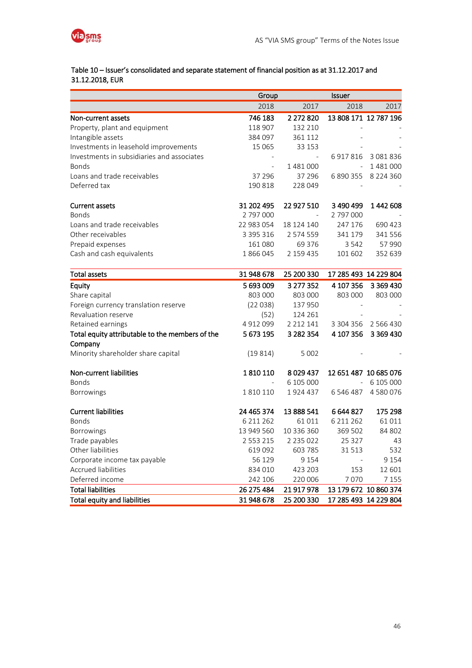

### Table 10 – Issuer's consolidated and separate statement of financial position as at 31.12.2017 and 31.12.2018, EUR

|                                                            | Group         |               | Issuer      |                       |
|------------------------------------------------------------|---------------|---------------|-------------|-----------------------|
|                                                            | 2018          | 2017          | 2018        | 2017                  |
| Non-current assets                                         | 746 183       | 2 272 820     |             | 13 808 171 12 787 196 |
| Property, plant and equipment                              | 118 907       | 132 210       |             |                       |
| Intangible assets                                          | 384 097       | 361 112       |             |                       |
| Investments in leasehold improvements                      | 15 065        | 33 153        |             |                       |
| Investments in subsidiaries and associates                 |               | $\sim$        | 6917816     | 3 081 836             |
| <b>Bonds</b>                                               |               | 1481000       |             | 1481000               |
| Loans and trade receivables                                | 37 296        | 37 29 6       | 6 890 355   | 8 2 2 4 3 6 0         |
| Deferred tax                                               | 190 818       | 228 049       |             |                       |
| <b>Current assets</b>                                      | 31 202 495    | 22 927 510    | 3 490 499   | 1442608               |
| <b>Bonds</b>                                               | 2 797 000     |               | 2 797 000   |                       |
| Loans and trade receivables                                | 22 983 054    | 18 124 140    | 247 176     | 690 423               |
| Other receivables                                          | 3 395 316     | 2 574 559     | 341 179     | 341 556               |
| Prepaid expenses                                           | 161 080       | 69 376        | 3 5 4 2     | 57 990                |
| Cash and cash equivalents                                  | 1866045       | 2 159 435     | 101 602     | 352 639               |
| <b>Total assets</b>                                        | 31 948 678    | 25 200 330    |             | 17 285 493 14 229 804 |
| Equity                                                     | 5 693 009     | 3 277 352     | 4 107 356   | 3 3 6 9 4 3 0         |
| Share capital                                              | 803 000       | 803 000       | 803 000     | 803 000               |
| Foreign currency translation reserve                       | (22038)       | 137 950       |             |                       |
| Revaluation reserve                                        | (52)          | 124 261       |             |                       |
| Retained earnings                                          | 4912099       | 2 2 1 2 1 4 1 | 3 304 356   | 2 5 6 4 3 0           |
| Total equity attributable to the members of the<br>Company | 5 673 195     | 3 282 354     | 4 107 356   | 3 3 6 9 4 3 0         |
| Minority shareholder share capital                         | (19814)       | 5 0 0 2       |             |                       |
| Non-current liabilities                                    | 1810110       | 8029437       |             | 12 651 487 10 685 076 |
| <b>Bonds</b>                                               |               | 6 105 000     | $\equiv$    | 6 105 000             |
| <b>Borrowings</b>                                          | 1810110       | 1924437       | 6 546 487   | 4580076               |
| <b>Current liabilities</b>                                 | 24 465 374    | 13 888 541    | 6 644 827   | 175 298               |
| <b>Bonds</b>                                               | 6 2 1 2 6 2   | 61 011        | 6 2 1 2 6 2 | 61 011                |
| Borrowings                                                 | 13 949 560    | 10 336 360    | 369 502     | 84 802                |
| Trade payables                                             | 2 5 5 3 2 1 5 | 2 2 3 5 0 2 2 | 25 327      | 43                    |
| Other liabilities                                          | 619 092       | 603 785       | 31 513      | 532                   |
| Corporate income tax payable                               | 56 129        | 9 1 5 4       |             | 9 1 5 4               |
| <b>Accrued liabilities</b>                                 | 834 010       | 423 203       | 153         | 12 601                |
| Deferred income                                            | 242 106       | 220 006       | 7070        | 7 1 5 5               |
| <b>Total liabilities</b>                                   | 26 275 484    | 21 917 978    |             | 13 179 672 10 860 374 |
| <b>Total equity and liabilities</b>                        | 31 948 678    | 25 200 330    |             | 17 285 493 14 229 804 |